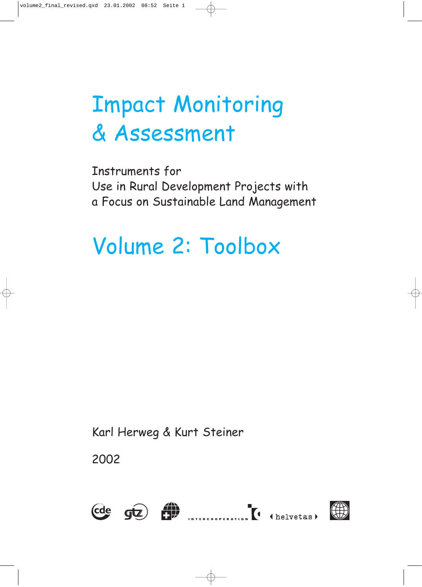# Impact Monitoring & Assessment

Instruments for Use in Rural Development Projects with a Focus on Sustainable Land Management

# Volume 2: Toolbox

Karl Herweg & Kurt Steiner

2002



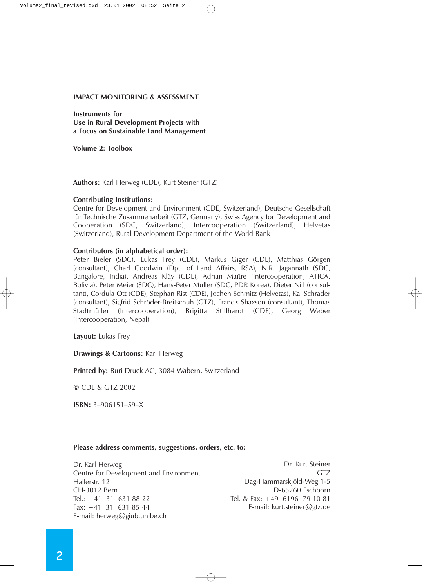### IMPACT MONITORING & ASSESSMENT

Instruments for Use in Rural Development Projects with a Focus on Sustainable Land Management

Volume 2: Toolbox

Authors: Karl Herweg (CDE), Kurt Steiner (GTZ)

### Contributing Institutions:

Centre for Development and Environment (CDE, Switzerland), Deutsche Gesellschaft für Technische Zusammenarbeit (GTZ, Germany), Swiss Agency for Development and Cooperation (SDC, Switzerland), Intercooperation (Switzerland), Helvetas (Switzerland), Rural Development Department of the World Bank

### Contributors (in alphabetical order):

Peter Bieler (SDC), Lukas Frey (CDE), Markus Giger (CDE), Matthias Görgen (consultant), Charl Goodwin (Dpt. of Land Affairs, RSA), N.R. Jagannath (SDC, Bangalore, India), Andreas Kläy (CDE), Adrian Maître (Intercooperation, ATICA, Bolivia), Peter Meier (SDC), Hans-Peter Müller (SDC, PDR Korea), Dieter Nill (consultant), Cordula Ott (CDE), Stephan Rist (CDE), Jochen Schmitz (Helvetas), Kai Schrader (consultant), Sigfrid Schröder-Breitschuh (GTZ), Francis Shaxson (consultant), Thomas Stadtmüller (Intercooperation), Brigitta Stillhardt (CDE), Georg Weber (Intercooperation, Nepal)

Layout: Lukas Frey

Drawings & Cartoons: Karl Herweg

Printed by: Buri Druck AG, 3084 Wabern, Switzerland

© CDE & GTZ 2002

ISBN: 3–906151–59–X

#### Please address comments, suggestions, orders, etc. to:

Dr. Karl Herweg Centre for Development and Environment Hallerstr. 12 CH-3012 Bern Tel.: +41 31 631 88 22 Fax: +41 31 631 85 44 E-mail: herweg@giub.unibe.ch

Dr. Kurt Steiner GTZ Dag-Hammarskjöld-Weg 1-5 D-65760 Eschborn Tel. & Fax: +49 6196 79 10 81 E-mail: kurt.steiner@gtz.de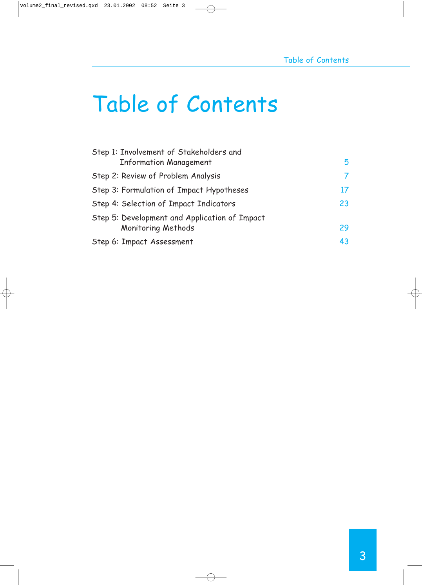# Table of Contents

| Step 1: Involvement of Stakeholders and       |    |
|-----------------------------------------------|----|
| <b>Information Management</b>                 | 5. |
| Step 2: Review of Problem Analysis            |    |
| Step 3: Formulation of Impact Hypotheses      | 17 |
| Step 4: Selection of Impact Indicators        | 23 |
| Step 5: Development and Application of Impact |    |
| <b>Monitoring Methods</b>                     | 29 |
| Step 6: Impact Assessment                     | 43 |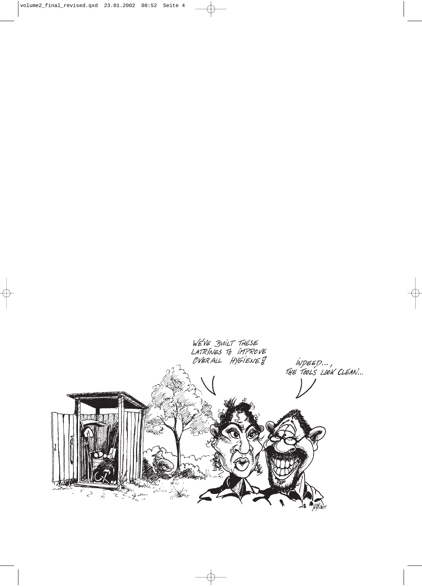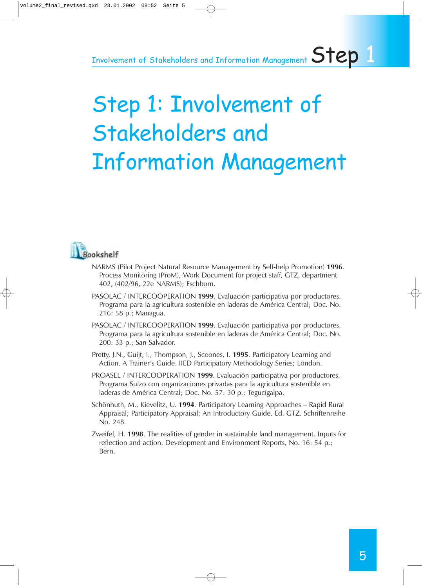# Step 1: Involvement of Stakeholders and Information Management



- NARMS (Pilot Project Natural Resource Management by Self-help Promotion) 1996. Process Monitoring (ProM), Work Document for project staff, GTZ, department 402, (402/96, 22e NARMS); Eschborn.
- PASOLAC / INTERCOOPERATION 1999. Evaluación participativa por productores. Programa para la agricultura sostenible en laderas de América Central; Doc. No. 216: 58 p.; Managua.
- PASOLAC / INTERCOOPERATION 1999. Evaluación participativa por productores. Programa para la agricultura sostenible en laderas de América Central; Doc. No. 200: 33 p.; San Salvador.
- Pretty, J.N., Guijt, I., Thompson, J., Scoones, I. 1995. Participatory Learning and Action. A Trainer's Guide. IIED Participatory Methodology Series; London.
- PROASEL / INTERCOOPERATION 1999. Evaluación participativa por productores. Programa Suizo con organizaciones privadas para la agricultura sostenible en laderas de América Central; Doc. No. 57: 30 p.; Tegucigalpa.
- Schönhuth, M., Kievelitz, U. 1994. Participatory Learning Approaches Rapid Rural Appraisal; Participatory Appraisal; An Introductory Guide. Ed. GTZ. Schriftenreihe No. 248.
- Zweifel, H. 1998. The realities of gender in sustainable land management. Inputs for reflection and action. Development and Environment Reports, No. 16: 54 p.; Bern.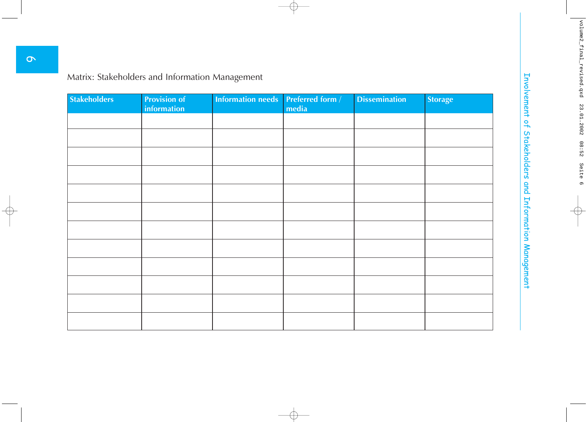Matrix: Stakeholders and Information Management

| <b>Stakeholders</b> | <b>Provision of</b><br>information | <b>Information needs</b> Preferred form / | media | <b>Dissemination</b> | <b>Storage</b> |
|---------------------|------------------------------------|-------------------------------------------|-------|----------------------|----------------|
|                     |                                    |                                           |       |                      |                |
|                     |                                    |                                           |       |                      |                |
|                     |                                    |                                           |       |                      |                |
|                     |                                    |                                           |       |                      |                |
|                     |                                    |                                           |       |                      |                |
|                     |                                    |                                           |       |                      |                |
|                     |                                    |                                           |       |                      |                |
|                     |                                    |                                           |       |                      |                |
|                     |                                    |                                           |       |                      |                |
|                     |                                    |                                           |       |                      |                |
|                     |                                    |                                           |       |                      |                |
|                     |                                    |                                           |       |                      |                |
|                     |                                    |                                           |       |                      |                |
|                     |                                    |                                           |       |                      |                |
|                     |                                    |                                           |       |                      |                |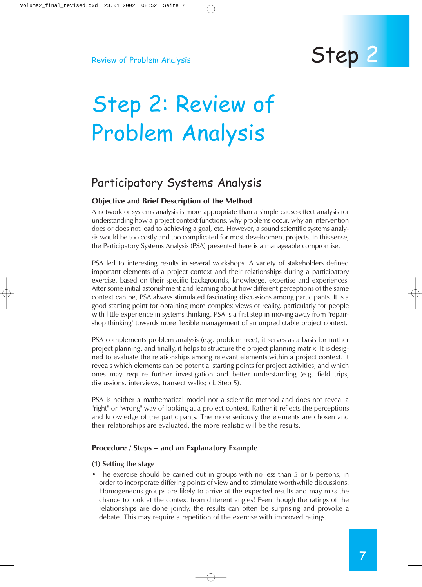# Step 2: Review of Problem Analysis

## Participatory Systems Analysis

### Objective and Brief Description of the Method

A network or systems analysis is more appropriate than a simple cause-effect analysis for understanding how a project context functions, why problems occur, why an intervention does or does not lead to achieving a goal, etc. However, a sound scientific systems analysis would be too costly and too complicated for most development projects. In this sense, the Participatory Systems Analysis (PSA) presented here is a manageable compromise.

PSA led to interesting results in several workshops. A variety of stakeholders defined important elements of a project context and their relationships during a participatory exercise, based on their specific backgrounds, knowledge, expertise and experiences. After some initial astonishment and learning about how different perceptions of the same context can be, PSA always stimulated fascinating discussions among participants. It is a good starting point for obtaining more complex views of reality, particularly for people with little experience in systems thinking. PSA is a first step in moving away from "repairshop thinking" towards more flexible management of an unpredictable project context.

PSA complements problem analysis (e.g. problem tree), it serves as a basis for further project planning, and finally, it helps to structure the project planning matrix. It is designed to evaluate the relationships among relevant elements within a project context. It reveals which elements can be potential starting points for project activities, and which ones may require further investigation and better understanding (e.g. field trips, discussions, interviews, transect walks; cf. Step 5).

PSA is neither a mathematical model nor a scientific method and does not reveal a "right" or "wrong" way of looking at a project context. Rather it reflects the perceptions and knowledge of the participants. The more seriously the elements are chosen and their relationships are evaluated, the more realistic will be the results.

### Procedure / Steps – and an Explanatory Example

### (1) Setting the stage

• The exercise should be carried out in groups with no less than 5 or 6 persons, in order to incorporate differing points of view and to stimulate worthwhile discussions. Homogeneous groups are likely to arrive at the expected results and may miss the chance to look at the context from different angles! Even though the ratings of the relationships are done jointly, the results can often be surprising and provoke a debate. This may require a repetition of the exercise with improved ratings.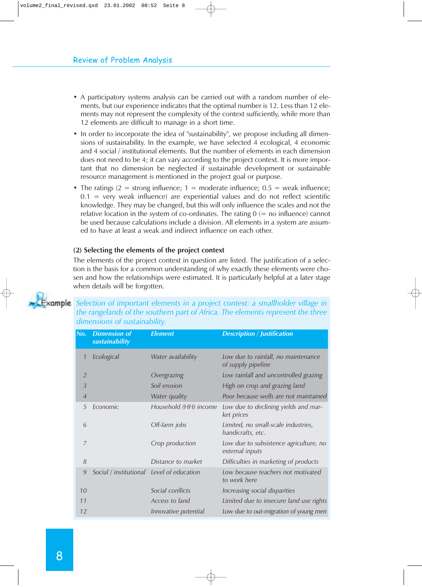- A participatory systems analysis can be carried out with a random number of elements, but our experience indicates that the optimal number is 12. Less than 12 elements may not represent the complexity of the context sufficiently, while more than 12 elements are difficult to manage in a short time.
- In order to incorporate the idea of "sustainability", we propose including all dimensions of sustainability. In the example, we have selected 4 ecological, 4 economic and 4 social / institutional elements. But the number of elements in each dimension does not need to be 4; it can vary according to the project context. It is more important that no dimension be neglected if sustainable development or sustainable resource management is mentioned in the project goal or purpose.
- The ratings (2 = strong influence; 1 = moderate influence;  $0.5$  = weak influence;  $0.1$  = very weak influence) are experiential values and do not reflect scientific knowledge. They may be changed, but this will only influence the scales and not the relative location in the system of co-ordinates. The rating  $0 (=$  no influence) cannot be used because calculations include a division. All elements in a system are assumed to have at least a weak and indirect influence on each other.

### (2) Selecting the elements of the project context

The elements of the project context in question are listed. The justification of a selection is the basis for a common understanding of why exactly these elements were chosen and how the relationships were estimated. It is particularly helpful at a later stage when details will be forgotten.



Example Selection of important elements in a project context: a smallholder village in the rangelands of the southern part of Africa. The elements represent the three dimensions of sustainability.

| No.            | <b>Dimension of</b><br>sustainability     | <b>Element</b>        | <b>Description / Justification</b>                        |
|----------------|-------------------------------------------|-----------------------|-----------------------------------------------------------|
| 1              | Ecological                                | Water availability    | Low due to rainfall, no maintenance<br>of supply pipeline |
| $\overline{2}$ |                                           | Overgrazing           | Low rainfall and uncontrolled grazing                     |
| 3              |                                           | Soil erosion          | High on crop and grazing land                             |
| $\overline{4}$ |                                           | Water quality         | Poor because wells are not maintained                     |
| 5              | Economic                                  | Household (HH) income | Low due to declining yields and mar-<br>ket prices        |
| 6              |                                           | Off-farm jobs         | Limited, no small-scale industries,<br>handicrafts, etc.  |
| $\overline{7}$ |                                           | Crop production       | Low due to subsistence agriculture, no<br>external inputs |
| 8              |                                           | Distance to market    | Difficulties in marketing of products                     |
| 9              | Social / institutional Level of education |                       | Low because teachers not motivated<br>to work here        |
| 10             |                                           | Social conflicts      | Increasing social disparities                             |
| 11             |                                           | Access to land        | Limited due to insecure land use rights                   |
| 12             |                                           | Innovative potential  | Low due to out-migration of young men                     |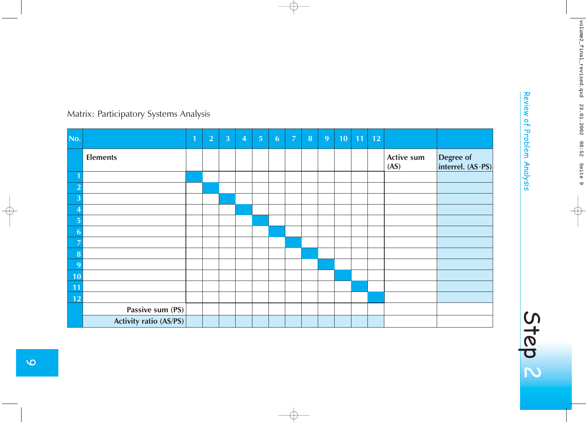| No.                    | $\overline{1}$ | $\overline{2}$ | $\overline{3}$ | $\overline{4}$ | 5 <sup>1</sup> | 6 | $\overline{7}$ | $\bf{8}$ | 9 | 10 | 11 | 12 |                    |                                  |
|------------------------|----------------|----------------|----------------|----------------|----------------|---|----------------|----------|---|----|----|----|--------------------|----------------------------------|
| <b>Elements</b>        |                |                |                |                |                |   |                |          |   |    |    |    | Active sum<br>(AS) | Degree of<br>interrel. (AS · PS) |
|                        |                |                |                |                |                |   |                |          |   |    |    |    |                    |                                  |
| $\overline{2}$         |                |                |                |                |                |   |                |          |   |    |    |    |                    |                                  |
| 3                      |                |                |                |                |                |   |                |          |   |    |    |    |                    |                                  |
| $\overline{A}$         |                |                |                |                |                |   |                |          |   |    |    |    |                    |                                  |
| $\overline{5}$         |                |                |                |                |                |   |                |          |   |    |    |    |                    |                                  |
| $\mathbf b$            |                |                |                |                |                |   |                |          |   |    |    |    |                    |                                  |
| 7                      |                |                |                |                |                |   |                |          |   |    |    |    |                    |                                  |
| 8                      |                |                |                |                |                |   |                |          |   |    |    |    |                    |                                  |
| 9                      |                |                |                |                |                |   |                |          |   |    |    |    |                    |                                  |
| 10                     |                |                |                |                |                |   |                |          |   |    |    |    |                    |                                  |
| 11                     |                |                |                |                |                |   |                |          |   |    |    |    |                    |                                  |
| 12                     |                |                |                |                |                |   |                |          |   |    |    |    |                    |                                  |
| Passive sum (PS)       |                |                |                |                |                |   |                |          |   |    |    |    |                    |                                  |
| Activity ratio (AS/PS) |                |                |                |                |                |   |                |          |   |    |    |    |                    |                                  |

 $\bullet$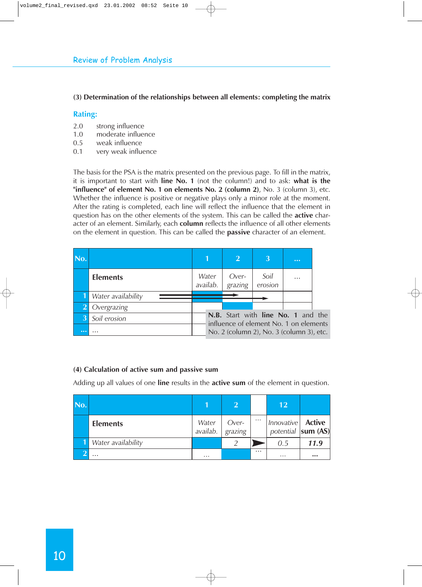### (3) Determination of the relationships between all elements: completing the matrix

### Rating:

- 2.0 strong influence<br>1.0 moderate influe
- moderate influence
- 0.5 weak influence
- 0.1 very weak influence

The basis for the PSA is the matrix presented on the previous page. To fill in the matrix, it is important to start with line No. 1 (not the column!) and to ask: what is the "influence" of element No. 1 on elements No. 2 (column 2), No. 3 (column 3), etc. Whether the influence is positive or negative plays only a minor role at the moment. After the rating is completed, each line will reflect the influence that the element in question has on the other elements of the system. This can be called the active character of an element. Similarly, each column reflects the influence of all other elements on the element in question. This can be called the passive character of an element.

| No. |                    |                   | $\overline{2}$                                                               |                 |  |
|-----|--------------------|-------------------|------------------------------------------------------------------------------|-----------------|--|
|     | <b>Elements</b>    | Water<br>availab. | Over-<br>grazing                                                             | Soil<br>erosion |  |
|     | Water availability |                   |                                                                              |                 |  |
|     | Overgrazing        |                   |                                                                              |                 |  |
|     | Soil erosion       |                   | N.B. Start with line No. 1 and the<br>influence of element No. 1 on elements |                 |  |
|     |                    |                   | No. 2 (column 2), No. 3 (column 3), etc.                                     |                 |  |

### (4) Calculation of active sum and passive sum

Adding up all values of one line results in the active sum of the element in question.

| No. |                           |                   |                  |          | 12                                             |                         |
|-----|---------------------------|-------------------|------------------|----------|------------------------------------------------|-------------------------|
|     | <b>Elements</b>           | Water<br>availab. | Over-<br>grazing | $\cdots$ | Innovative <b>Active</b><br>potential sum (AS) |                         |
|     | <b>Water</b> availability |                   |                  |          | 0.5                                            | 11.9                    |
|     | $\ddotsc$                 | $\cdots$          |                  | $\cdots$ | $\cdots$                                       | $\bullet\bullet\bullet$ |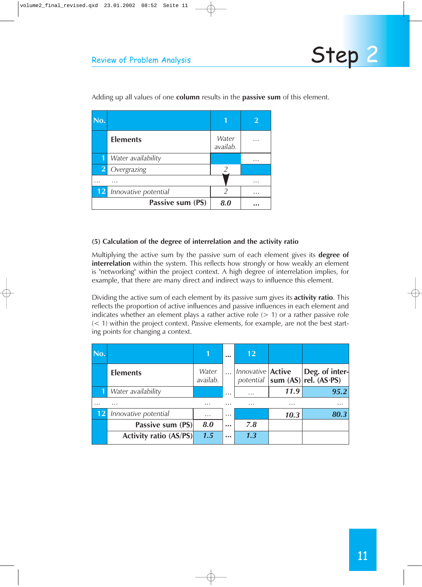| No.            |                         |                   |   |
|----------------|-------------------------|-------------------|---|
|                | <b>Elements</b>         | Water<br>availab. | . |
| 1              | Water availability      |                   |   |
| $\overline{2}$ | Overgrazing             |                   |   |
|                |                         |                   |   |
|                | 12 Innovative potential | $\mathcal{P}$     |   |
|                | Passive sum (PS)        | 8.0               |   |

Adding up all values of one column results in the passive sum of this element.

### (5) Calculation of the degree of interrelation and the activity ratio

Multiplying the active sum by the passive sum of each element gives its **degree of** interrelation within the system. This reflects how strongly or how weakly an element is "networking" within the project context. A high degree of interrelation implies, for example, that there are many direct and indirect ways to influence this element.

Dividing the active sum of each element by its passive sum gives its **activity ratio**. This reflects the proportion of active influences and passive influences in each element and indicates whether an element plays a rather active role  $(> 1)$  or a rather passive role  $(< 1)$  within the project context. Passive elements, for example, are not the best starting points for changing a context.

| No.   |                        |                   |                         | 12                |          |                                                           |
|-------|------------------------|-------------------|-------------------------|-------------------|----------|-----------------------------------------------------------|
|       | <b>Elements</b>        | Water<br>availab. |                         | Innovative Active |          | Deg. of inter-<br>potential $\vert$ sum (AS) rel. (AS·PS) |
|       | Water availability     |                   | $\cdots$                | $\cdots$          | 11.9     | 95.2                                                      |
|       | $\cdots$               | $\cdots$          |                         | $\cdot\cdot\cdot$ | $\cdots$ | $\cdots$                                                  |
| $-12$ | Innovative potential   | $\cdots$          | $\cdots$                |                   | 10.3     | 80.3                                                      |
|       | Passive sum (PS)       | 8.0               | $\cdots$                | 7.8               |          |                                                           |
|       | Activity ratio (AS/PS) | 1.5               | $\bullet\bullet\bullet$ | 1.3               |          |                                                           |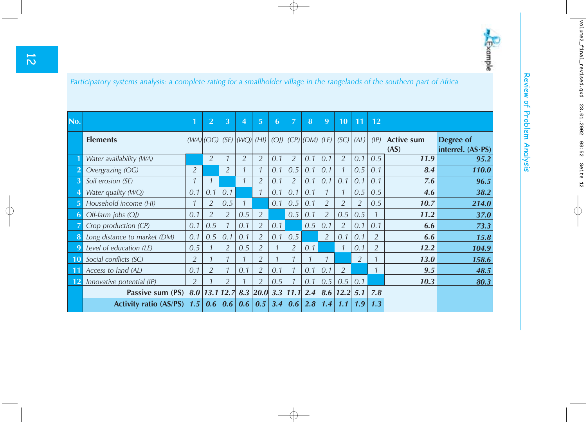|              | Participatory systems analysis: a complete rating for a smallholder village in the rangelands of the southern part of Africa |                |                     |                |                     |                    |                  |                    |                             |                |                    |                |                |                           |                                        |
|--------------|------------------------------------------------------------------------------------------------------------------------------|----------------|---------------------|----------------|---------------------|--------------------|------------------|--------------------|-----------------------------|----------------|--------------------|----------------|----------------|---------------------------|----------------------------------------|
| No.          |                                                                                                                              |                | $\overline{2}$      | 3              | 4                   | $\overline{5}$     | 6                | $\overline{7}$     | 8                           | 9              | 10                 | 11             | 12             |                           |                                        |
|              | <b>Elements</b>                                                                                                              |                | $(WA)$ $(OG)$       |                | $(E)$ $(WQ)$ $(HI)$ |                    |                  |                    | $(OJ)$ $(CP)$ $(DM)$ $(LE)$ |                | (SC)               | (AL)           | (IP)           | <b>Active sum</b><br>(AS) | Degree of<br>interrel. $(AS \cdot PS)$ |
|              | Water availability (WA)                                                                                                      |                | $\overline{2}$      |                | $\overline{2}$      | $\overline{2}$     | 0.1              | $\overline{2}$     | 0.1                         | 0.1            | $\overline{2}$     | 0.1            | 0.5            | 11.9                      | 95.2                                   |
|              | Overgrazing (OG)                                                                                                             | $\overline{2}$ |                     | $\overline{2}$ |                     |                    | 0.1              | 0.5                | 0.1                         | 0.1            |                    | 0.5            | 0.1            | 8.4                       | 110.0                                  |
|              | Soil erosion (SE)                                                                                                            | $\overline{1}$ | $\mathcal{I}$       |                |                     | $\overline{2}$     | 0.1              | $\overline{2}$     | 0.1                         | 0.1            | 0.1                | 0.1            | 0.1            | 7.6                       | 96.5                                   |
|              | Water quality (WQ)                                                                                                           | 0.1            | 0.1                 | 0.1            |                     | $\mathcal{I}$      | 0.1              | 0.1                | 0.1                         |                |                    | 0.5            | 0.5            | 4.6                       | 38.2                                   |
| 5            | Household income (HI)                                                                                                        | $\mathcal{I}$  | $\overline{2}$      | 0.5            |                     |                    | 0.1              | 0.5                | 0.1                         | $\overline{2}$ | $\overline{2}$     | $\overline{2}$ | 0.5            | 10.7                      | 214.0                                  |
| $\mathbf{b}$ | Off-farm jobs (OJ)                                                                                                           | 0.1            | $\overline{2}$      | $\overline{2}$ | 0.5                 | $\overline{2}$     |                  | 0.5                | 0.1                         | $\overline{2}$ | 0.5                | 0.5            |                | 11.2                      | <b>37.0</b>                            |
|              | Crop production (CP)                                                                                                         | 0.1            | 0.5                 |                | 0.1                 | $\overline{2}$     | 0.1              |                    | 0.5                         | 0.1            | $\overline{2}$     | 0.1            | 0.1            | 6.6                       | 73.3                                   |
|              | Long distance to market (DM)                                                                                                 | 0.1            | 0.5                 | 0.1            | 0.1                 | $\overline{2}$     | 0.1              | 0.5                |                             | $\overline{2}$ | 0.1                | 0.1            | $\overline{2}$ | 6.6                       | 15.8                                   |
|              | Level of education (LE)                                                                                                      | 0.5            |                     | $\overline{2}$ | 0.5                 | $\overline{2}$     |                  | $\overline{2}$     | 0.1                         |                |                    | 0.1            | $\overline{2}$ | 12.2                      | 104.9                                  |
| 10           | Social conflicts (SC)                                                                                                        | $\overline{2}$ | $\mathcal{I}$       |                |                     | $\overline{2}$     |                  | -1                 | $\mathcal I$                |                |                    | $\overline{2}$ |                | 13.0                      | 158.6                                  |
| 11           | Access to land (AL)                                                                                                          | 0.1            | $\overline{2}$      |                | 0.1                 | $\overline{2}$     | 0.1              |                    | 0.1                         | 0.1            | $\overline{2}$     |                |                | 9.5                       | 48.5                                   |
| 12           | Innovative potential (IP)                                                                                                    | $\overline{2}$ |                     |                |                     | $\mathfrak{D}$     | 0.5              |                    | 0.1                         | 0.5            | 0.5                | 0.1            |                | 10.3                      | 80.3                                   |
|              | Passive sum (PS)                                                                                                             |                | $8.0$   13.1   12.7 |                |                     |                    | 8.3   20.0   3.3 | 11.1               | 2.4                         |                | $8.6$   12.2   5.1 |                | 7.8            |                           |                                        |
|              | Activity ratio (AS/PS)                                                                                                       | 1.5            |                     |                | 0.6 0.6 0.6         | $\boldsymbol{0.5}$ | 3.4              | $\boldsymbol{0.6}$ | 2.8                         | 1.4            | 1.1                | 1.9            | 1.3            |                           |                                        |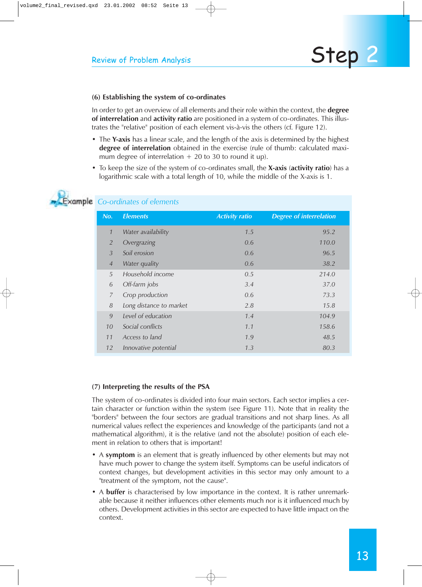### (6) Establishing the system of co-ordinates

In order to get an overview of all elements and their role within the context, the **degree** of interrelation and activity ratio are positioned in a system of co-ordinates. This illustrates the "relative" position of each element vis-à-vis the others (cf. Figure 12).

- The Y-axis has a linear scale, and the length of the axis is determined by the highest degree of interrelation obtained in the exercise (rule of thumb: calculated maximum degree of interrelation  $+20$  to 30 to round it up).
- To keep the size of the system of co-ordinates small, the X-axis (activity ratio) has a logarithmic scale with a total length of 10, while the middle of the X-axis is 1.



### **Example** Co-ordinates of elements

| No.            | <b>Elements</b>         | <b>Activity ratio</b> | <b>Degree of interrelation</b> |
|----------------|-------------------------|-----------------------|--------------------------------|
| $\mathcal{I}$  | Water availability      | 1.5                   | 95.2                           |
| $\overline{2}$ | Overgrazing             | 0.6                   | 110.0                          |
| $\overline{3}$ | Soil erosion            | 0.6                   | 96.5                           |
| $\overline{4}$ | Water quality           | 0.6                   | 38.2                           |
| 5              | Household income        | 0.5                   | 214.0                          |
| 6              | Off-farm jobs           | 3.4                   | 37.0                           |
| $\overline{7}$ | Crop production         | 0.6                   | 73.3                           |
| 8              | Long distance to market | 2.8                   | 15.8                           |
| 9              | Level of education      | 1.4                   | 104.9                          |
| 10             | Social conflicts        | 1.1                   | 158.6                          |
| 11             | Access to land          | 1.9                   | 48.5                           |
| 12             | Innovative potential    | 1.3                   | 80.3                           |

### (7) Interpreting the results of the PSA

The system of co-ordinates is divided into four main sectors. Each sector implies a certain character or function within the system (see Figure 11). Note that in reality the "borders" between the four sectors are gradual transitions and not sharp lines. As all numerical values reflect the experiences and knowledge of the participants (and not a mathematical algorithm), it is the relative (and not the absolute) position of each element in relation to others that is important!

- A symptom is an element that is greatly influenced by other elements but may not have much power to change the system itself. Symptoms can be useful indicators of context changes, but development activities in this sector may only amount to a "treatment of the symptom, not the cause".
- A buffer is characterised by low importance in the context. It is rather unremarkable because it neither influences other elements much nor is it influenced much by others. Development activities in this sector are expected to have little impact on the context.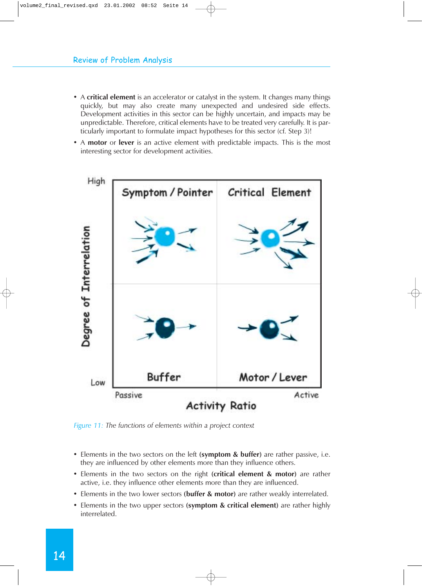- A critical element is an accelerator or catalyst in the system. It changes many things quickly, but may also create many unexpected and undesired side effects. Development activities in this sector can be highly uncertain, and impacts may be unpredictable. Therefore, critical elements have to be treated very carefully. It is particularly important to formulate impact hypotheses for this sector (cf. Step 3)!
- A motor or lever is an active element with predictable impacts. This is the most interesting sector for development activities.



Figure 11: The functions of elements within a project context

- Elements in the two sectors on the left (symptom & buffer) are rather passive, i.e. they are influenced by other elements more than they influence others.
- Elements in the two sectors on the right (critical element & motor) are rather active, i.e. they influence other elements more than they are influenced.
- Elements in the two lower sectors (buffer & motor) are rather weakly interrelated.
- Elements in the two upper sectors (symptom & critical element) are rather highly interrelated.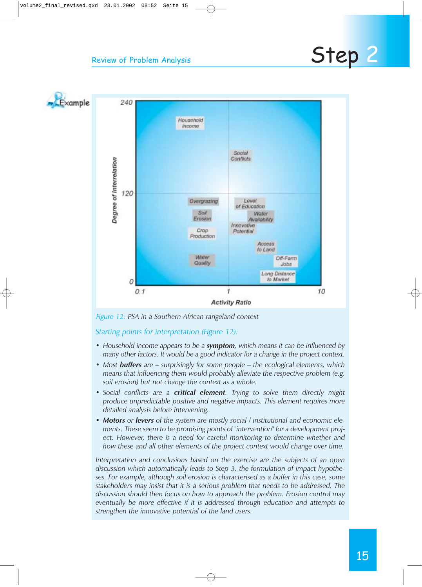### Review of Problem Analysis



Figure 12: PSA in a Southern African rangeland context

### Starting points for interpretation (Figure 12):

- Household income appears to be a symptom, which means it can be influenced by many other factors. It would be a good indicator for a change in the project context.
- Most **buffers** are  $-$  surprisingly for some people  $-$  the ecological elements, which means that influencing them would probably alleviate the respective problem (e.g. soil erosion) but not change the context as a whole.
- Social conflicts are a **critical element**. Trying to solve them directly might produce unpredictable positive and negative impacts. This element requires more detailed analysis before intervening.
- Motors or levers of the system are mostly social / institutional and economic elements. These seem to be promising points of "intervention" for a development project. However, there is a need for careful monitoring to determine whether and how these and all other elements of the project context would change over time.

Interpretation and conclusions based on the exercise are the subjects of an open discussion which automatically leads to Step 3, the formulation of impact hypotheses. For example, although soil erosion is characterised as a buffer in this case, some stakeholders may insist that it is a serious problem that needs to be addressed. The discussion should then focus on how to approach the problem. Erosion control may eventually be more effective if it is addressed through education and attempts to strengthen the innovative potential of the land users.

Step 2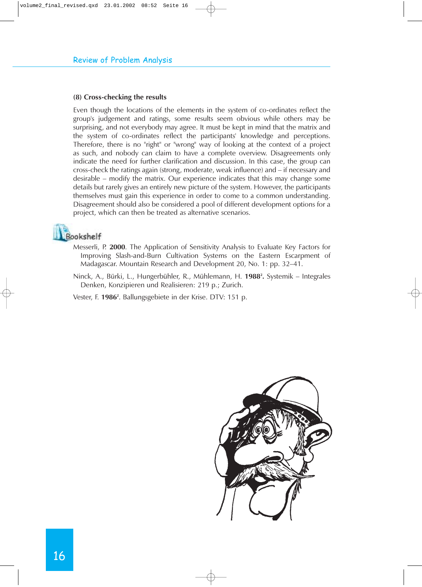### (8) Cross-checking the results

Even though the locations of the elements in the system of co-ordinates reflect the group's judgement and ratings, some results seem obvious while others may be surprising, and not everybody may agree. It must be kept in mind that the matrix and the system of co-ordinates reflect the participants' knowledge and perceptions. Therefore, there is no "right" or "wrong" way of looking at the context of a project as such, and nobody can claim to have a complete overview. Disagreements only indicate the need for further clarification and discussion. In this case, the group can cross-check the ratings again (strong, moderate, weak influence) and – if necessary and desirable – modify the matrix. Our experience indicates that this may change some details but rarely gives an entirely new picture of the system. However, the participants themselves must gain this experience in order to come to a common understanding. Disagreement should also be considered a pool of different development options for a project, which can then be treated as alternative scenarios.

## Bookshelf

- Messerli, P. 2000. The Application of Sensitivity Analysis to Evaluate Key Factors for Improving Slash-and-Burn Cultivation Systems on the Eastern Escarpment of Madagascar. Mountain Research and Development 20, No. 1: pp. 32–41.
- Ninck, A., Bürki, L., Hungerbühler, R., Mühlemann, H. **1988<sup>2</sup>.** Systemik Integrales Denken, Konzipieren und Realisieren: 219 p.; Zurich.

Vester, F. **1986**². Ballungsgebiete in der Krise. DTV: 151 p.

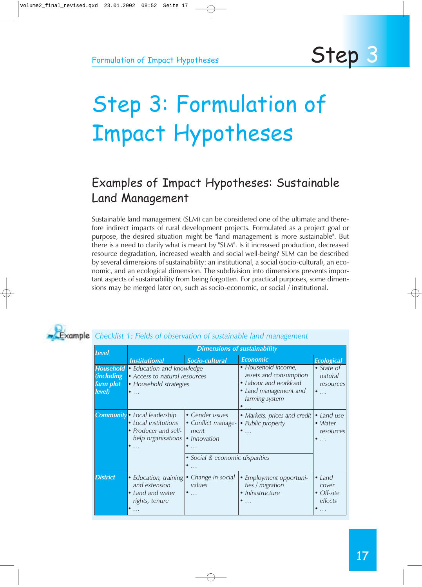# Step 3: Formulation of Impact Hypotheses

## Examples of Impact Hypotheses: Sustainable Land Management

Sustainable land management (SLM) can be considered one of the ultimate and therefore indirect impacts of rural development projects. Formulated as a project goal or purpose, the desired situation might be "land management is more sustainable". But there is a need to clarify what is meant by "SLM". Is it increased production, decreased resource degradation, increased wealth and social well-being? SLM can be described by several dimensions of sustainability: an institutional, a social (socio-cultural), an economic, and an ecological dimension. The subdivision into dimensions prevents important aspects of sustainability from being forgotten. For practical purposes, some dimensions may be merged later on, such as socio-economic, or social / institutional.



### **Example** Checklist 1: Fields of observation of sustainable land management

| Level                             |                                                                                                                        | <b>Dimensions of sustainability</b>                                                                                             |                                                                                                                   |                                                  |
|-----------------------------------|------------------------------------------------------------------------------------------------------------------------|---------------------------------------------------------------------------------------------------------------------------------|-------------------------------------------------------------------------------------------------------------------|--------------------------------------------------|
|                                   | <b>Institutional</b>                                                                                                   | Socio-cultural                                                                                                                  | <b>Economic</b>                                                                                                   | <b>Ecological</b>                                |
| (including<br>farm plot<br>level) | Household • Education and knowledge<br>• Access to natural resources<br>• Household strategies<br>$\bullet$            |                                                                                                                                 | • Household income,<br>assets and consumption<br>• Labour and workload<br>• Land management and<br>farming system | • State of<br>natural<br>resources<br>$\bullet$  |
|                                   | <b>Community</b> • Local leadership<br>• Local institutions<br>• Producer and self-<br>help organisations<br>$\bullet$ | • Gender issues<br>• Conflict manage-<br>ment<br>$\cdot$ Innovation<br>• Social & economic disparities<br>$\bullet$<br>$\ddots$ | • Markets, prices and credit<br>• Public property<br>$\bullet$<br>$\ddotsc$                                       | • Land use<br>• Water<br>resources               |
| <b>District</b>                   | • Education, training $\cdot$<br>and extension<br>• Land and water<br>rights, tenure<br>$\bullet$                      | Change in social<br>values<br>$\ddots$                                                                                          | • Employment opportuni-<br>ties / migration<br>• Infrastructure                                                   | $\bullet$ Land<br>cover<br>• Off-site<br>effects |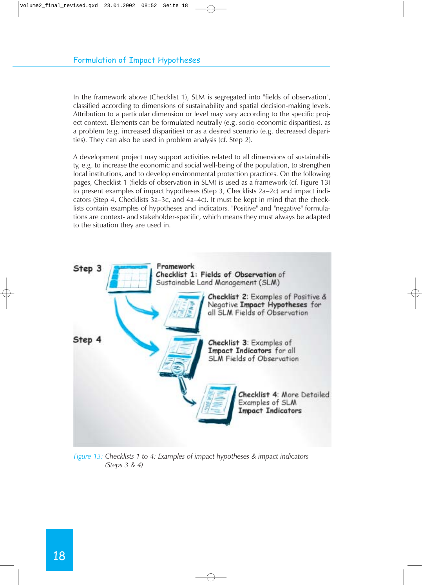In the framework above (Checklist 1), SLM is segregated into "fields of observation", classified according to dimensions of sustainability and spatial decision-making levels. Attribution to a particular dimension or level may vary according to the specific project context. Elements can be formulated neutrally (e.g. socio-economic disparities), as a problem (e.g. increased disparities) or as a desired scenario (e.g. decreased disparities). They can also be used in problem analysis (cf. Step 2).

A development project may support activities related to all dimensions of sustainability, e.g. to increase the economic and social well-being of the population, to strengthen local institutions, and to develop environmental protection practices. On the following pages, Checklist 1 (fields of observation in SLM) is used as a framework (cf. Figure 13) to present examples of impact hypotheses (Step 3, Checklists 2a–2c) and impact indicators (Step 4, Checklists 3a–3c, and 4a–4c). It must be kept in mind that the checklists contain examples of hypotheses and indicators. "Positive" and "negative" formulations are context- and stakeholder-specific, which means they must always be adapted to the situation they are used in.



Figure 13: Checklists 1 to 4: Examples of impact hypotheses & impact indicators (Steps 3 & 4)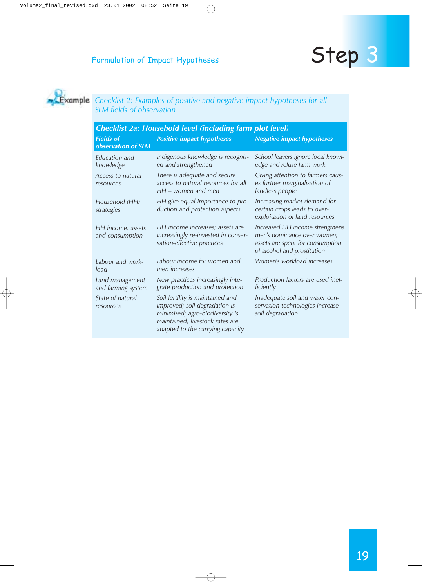

Checklist 2: Examples of positive and negative impact hypotheses for all SLM fields of observation

| <b>Checklist 2a: Household level (including farm plot level)</b> |                                                                                                                                                                             |                                                                                                                                   |  |  |  |  |  |
|------------------------------------------------------------------|-----------------------------------------------------------------------------------------------------------------------------------------------------------------------------|-----------------------------------------------------------------------------------------------------------------------------------|--|--|--|--|--|
| <b>Fields of</b><br>observation of SLM                           | <b>Positive impact hypotheses</b>                                                                                                                                           | <b>Negative impact hypotheses</b>                                                                                                 |  |  |  |  |  |
| Education and<br>knowledge                                       | Indigenous knowledge is recognis-<br>ed and strengthened                                                                                                                    | School leavers ignore local knowl-<br>edge and refuse farm work                                                                   |  |  |  |  |  |
| Access to natural<br>resources                                   | There is adequate and secure<br>access to natural resources for all<br>$HH - women$ and men                                                                                 | Giving attention to farmers caus-<br>es further marginalisation of<br>landless people                                             |  |  |  |  |  |
| Household (HH)<br>strategies                                     | HH give equal importance to pro-<br>duction and protection aspects                                                                                                          | Increasing market demand for<br>certain crops leads to over-<br>exploitation of land resources                                    |  |  |  |  |  |
| HH income, assets<br>and consumption                             | HH income increases; assets are<br>increasingly re-invested in conser-<br>vation-effective practices                                                                        | Increased HH income strengthens<br>men's dominance over women;<br>assets are spent for consumption<br>of alcohol and prostitution |  |  |  |  |  |
| Labour and work-<br>load                                         | Labour income for women and<br>men increases                                                                                                                                | Women's workload increases                                                                                                        |  |  |  |  |  |
| Land management<br>and farming system                            | New practices increasingly inte-<br>grate production and protection                                                                                                         | Production factors are used inef-<br>ficiently                                                                                    |  |  |  |  |  |
| State of natural<br>resources                                    | Soil fertility is maintained and<br>improved; soil degradation is<br>minimised; agro-biodiversity is<br>maintained; livestock rates are<br>adapted to the carrying capacity | Inadequate soil and water con-<br>servation technologies increase<br>soil degradation                                             |  |  |  |  |  |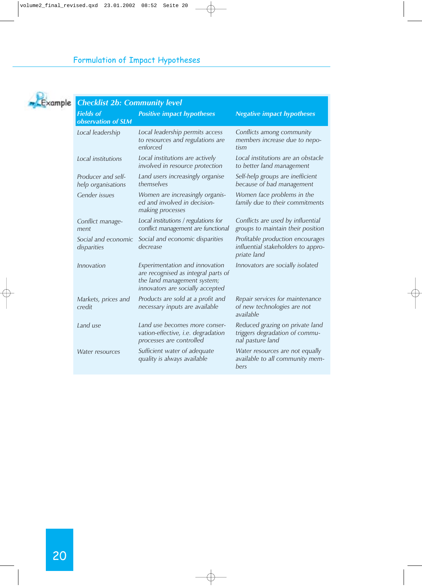

| <b>Checklist 2b: Community level</b>     |                                                                                                                                          |                                                                                       |  |  |  |
|------------------------------------------|------------------------------------------------------------------------------------------------------------------------------------------|---------------------------------------------------------------------------------------|--|--|--|
| <b>Fields of</b><br>observation of SLM   | <b>Positive impact hypotheses</b>                                                                                                        | <b>Negative impact hypotheses</b>                                                     |  |  |  |
| Local leadership                         | Local leadership permits access<br>to resources and regulations are<br>enforced                                                          | Conflicts among community<br>members increase due to nepo-<br>tism                    |  |  |  |
| Local institutions                       | Local institutions are actively<br>involved in resource protection                                                                       | Local institutions are an obstacle<br>to better land management                       |  |  |  |
| Producer and self-<br>help organisations | Land users increasingly organise<br>themselves                                                                                           | Self-help groups are inefficient<br>because of bad management                         |  |  |  |
| Gender issues                            | Women are increasingly organis-<br>ed and involved in decision-<br>making processes                                                      | Women face problems in the<br>family due to their commitments                         |  |  |  |
| Conflict manage-<br>ment                 | Local institutions / regulations for<br>conflict management are functional                                                               | Conflicts are used by influential<br>groups to maintain their position                |  |  |  |
| Social and economic<br>disparities       | Social and economic disparities<br>decrease                                                                                              | Profitable production encourages<br>influential stakeholders to appro-<br>priate land |  |  |  |
| Innovation                               | Experimentation and innovation<br>are recognised as integral parts of<br>the land management system;<br>innovators are socially accepted | Innovators are socially isolated                                                      |  |  |  |
| Markets, prices and<br>credit            | Products are sold at a profit and<br>necessary inputs are available                                                                      | Repair services for maintenance<br>of new technologies are not<br>available           |  |  |  |
| Land use                                 | Land use becomes more conser-<br>vation-effective, i.e. degradation<br>processes are controlled                                          | Reduced grazing on private land<br>triggers degradation of commu-<br>nal pasture land |  |  |  |
| Water resources                          | Sufficient water of adequate<br>quality is always available                                                                              | Water resources are not equally<br>available to all community mem-<br>bers            |  |  |  |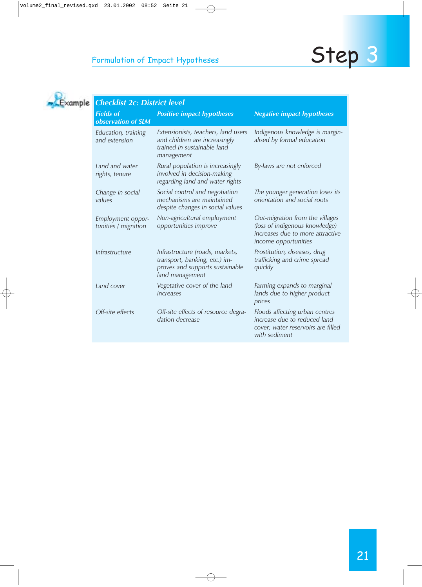

| <b>Checklist 2c: District level</b>       |                                                                                                                        |                                                                                                                               |  |  |  |  |
|-------------------------------------------|------------------------------------------------------------------------------------------------------------------------|-------------------------------------------------------------------------------------------------------------------------------|--|--|--|--|
| <b>Fields of</b><br>observation of SLM    | <b>Positive impact hypotheses</b>                                                                                      | <b>Negative impact hypotheses</b>                                                                                             |  |  |  |  |
| Education, training<br>and extension      | Extensionists, teachers, land users<br>and children are increasingly<br>trained in sustainable land<br>management      | Indigenous knowledge is margin-<br>alised by formal education                                                                 |  |  |  |  |
| Land and water<br>rights, tenure          | Rural population is increasingly<br>involved in decision-making<br>regarding land and water rights                     | By-laws are not enforced                                                                                                      |  |  |  |  |
| Change in social<br>values                | Social control and negotiation<br>mechanisms are maintained<br>despite changes in social values                        | The younger generation loses its<br>orientation and social roots                                                              |  |  |  |  |
| Employment oppor-<br>tunities / migration | Non-agricultural employment<br>opportunities improve                                                                   | Out-migration from the villages<br>(loss of indigenous knowledge)<br>increases due to more attractive<br>income opportunities |  |  |  |  |
| Infrastructure                            | Infrastructure (roads, markets,<br>transport, banking, etc.) im-<br>proves and supports sustainable<br>land management | Prostitution, diseases, drug<br>trafficking and crime spread<br>quickly                                                       |  |  |  |  |
| Land cover                                | Vegetative cover of the land<br>increases                                                                              | Farming expands to marginal<br>lands due to higher product<br>prices                                                          |  |  |  |  |
| Off-site effects                          | Off-site effects of resource degra-<br>dation decrease                                                                 | Floods affecting urban centres<br>increase due to reduced land<br>cover; water reservoirs are filled<br>with sediment         |  |  |  |  |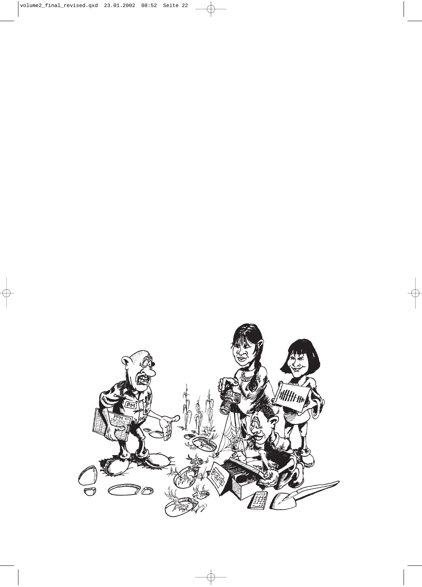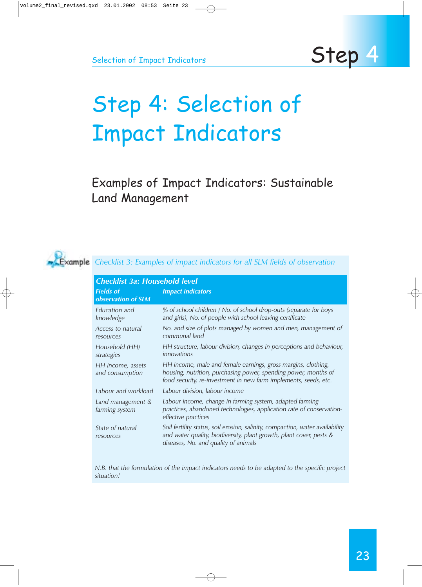# Step 4: Selection of Impact Indicators

Examples of Impact Indicators: Sustainable Land Management



**Example** Checklist 3: Examples of impact indicators for all SLM fields of observation

| <b>Checklist 3a: Household level</b>   |                                                                                                                                                                                                      |  |  |  |
|----------------------------------------|------------------------------------------------------------------------------------------------------------------------------------------------------------------------------------------------------|--|--|--|
| <b>Fields of</b><br>observation of SLM | <b>Impact indicators</b>                                                                                                                                                                             |  |  |  |
| Education and<br>knowledge             | % of school children / No. of school drop-outs (separate for boys<br>and girls), No. of people with school leaving certificate                                                                       |  |  |  |
| Access to natural<br>resources         | No. and size of plots managed by women and men, management of<br>communal land                                                                                                                       |  |  |  |
| Household (HH)<br>strategies           | HH structure, labour division, changes in perceptions and behaviour,<br>innovations                                                                                                                  |  |  |  |
| HH income, assets<br>and consumption   | HH income, male and female earnings, gross margins, clothing,<br>housing, nutrition, purchasing power, spending power, months of<br>food security, re-investment in new farm implements, seeds, etc. |  |  |  |
| Labour and workload                    | Labour division, labour income                                                                                                                                                                       |  |  |  |
| Land management &<br>farming system    | Labour income, change in farming system, adapted farming<br>practices, abandoned technologies, application rate of conservation-<br>effective practices                                              |  |  |  |
| State of natural<br>resources          | Soil fertility status, soil erosion, salinity, compaction, water availability<br>and water quality, biodiversity, plant growth, plant cover, pests &<br>diseases, No. and quality of animals         |  |  |  |

N.B. that the formulation of the impact indicators needs to be adapted to the specific project situation!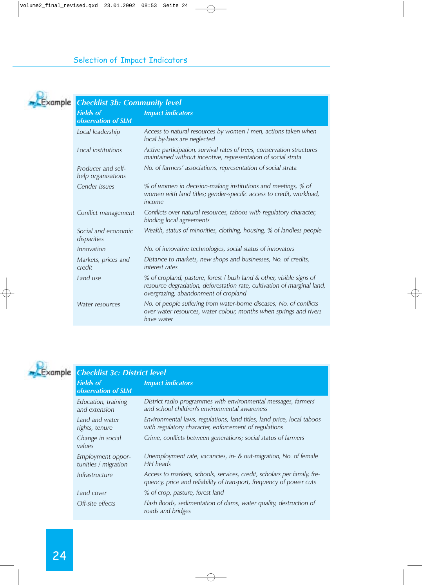

|                                        | <b>Checklist 3b: Community level</b>     |                                                                                                                                                                                         |  |  |  |
|----------------------------------------|------------------------------------------|-----------------------------------------------------------------------------------------------------------------------------------------------------------------------------------------|--|--|--|
| <b>Fields of</b><br>observation of SLM |                                          | <b>Impact indicators</b>                                                                                                                                                                |  |  |  |
|                                        | Local leadership                         | Access to natural resources by women / men, actions taken when<br>local by-laws are neglected                                                                                           |  |  |  |
|                                        | Local institutions                       | Active participation, survival rates of trees, conservation structures<br>maintained without incentive, representation of social strata                                                 |  |  |  |
|                                        | Producer and self-<br>help organisations | No. of farmers' associations, representation of social strata                                                                                                                           |  |  |  |
|                                        | Gender issues                            | % of women in decision-making institutions and meetings, % of<br>women with land titles; gender-specific access to credit, workload,<br>income                                          |  |  |  |
|                                        | Conflict management                      | Conflicts over natural resources, taboos with regulatory character,<br>binding local agreements                                                                                         |  |  |  |
|                                        | Social and economic<br>disparities       | Wealth, status of minorities, clothing, housing, % of landless people                                                                                                                   |  |  |  |
|                                        | Innovation                               | No. of innovative technologies, social status of innovators                                                                                                                             |  |  |  |
|                                        | Markets, prices and<br>credit            | Distance to markets, new shops and businesses, No. of credits,<br>interest rates                                                                                                        |  |  |  |
|                                        | Land use                                 | % of cropland, pasture, forest / bush land & other, visible signs of<br>resource degradation, deforestation rate, cultivation of marginal land,<br>overgrazing, abandonment of cropland |  |  |  |
|                                        | Water resources                          | No. of people suffering from water-borne diseases; No. of conflicts<br>over water resources, water colour, months when springs and rivers<br>have water                                 |  |  |  |
|                                        |                                          |                                                                                                                                                                                         |  |  |  |



| <b>E</b> Checklist 3c: District level<br><b>Fields of</b><br>observation of SLM |                                           | <b>Impact indicators</b>                                                                                                                       |
|---------------------------------------------------------------------------------|-------------------------------------------|------------------------------------------------------------------------------------------------------------------------------------------------|
|                                                                                 | Education, training<br>and extension      | District radio programmes with environmental messages, farmers'<br>and school children's environmental awareness                               |
|                                                                                 | Land and water<br>rights, tenure          | Environmental laws, regulations, land titles, land price, local taboos<br>with regulatory character, enforcement of regulations                |
|                                                                                 | Change in social<br>values                | Crime, conflicts between generations; social status of farmers                                                                                 |
|                                                                                 | Employment oppor-<br>tunities / migration | Unemployment rate, vacancies, in- & out-migration, No. of female<br>HH heads                                                                   |
|                                                                                 | Infrastructure                            | Access to markets, schools, services, credit, scholars per family, fre-<br>quency, price and reliability of transport, frequency of power cuts |
|                                                                                 | Land cover                                | % of crop, pasture, forest land                                                                                                                |
|                                                                                 | Off-site effects                          | Flash floods, sedimentation of dams, water quality, destruction of<br>roads and bridges                                                        |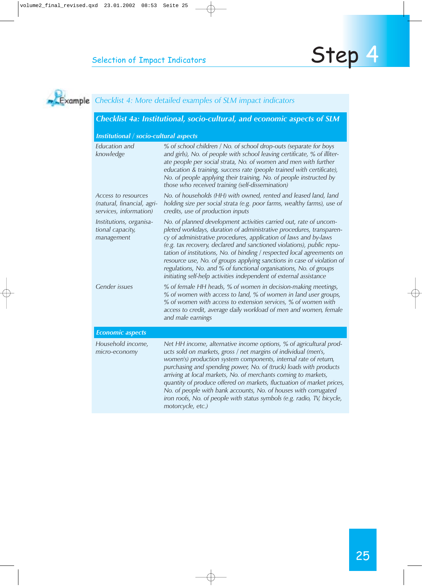

## **CExample** Checklist 4: More detailed examples of SLM impact indicators

| Checklist 4a: Institutional, socio-cultural, and economic aspects of SLM    |                                                                                                                                                                                                                                                                                                                                                                                                                                                                                                                                                                                             |  |  |
|-----------------------------------------------------------------------------|---------------------------------------------------------------------------------------------------------------------------------------------------------------------------------------------------------------------------------------------------------------------------------------------------------------------------------------------------------------------------------------------------------------------------------------------------------------------------------------------------------------------------------------------------------------------------------------------|--|--|
| <b>Institutional / socio-cultural aspects</b>                               |                                                                                                                                                                                                                                                                                                                                                                                                                                                                                                                                                                                             |  |  |
| Education and<br>knowledge                                                  | % of school children / No. of school drop-outs (separate for boys<br>and girls), No. of people with school leaving certificate, % of illiter-<br>ate people per social strata, No. of women and men with further<br>education & training, success rate (people trained with certificate),<br>No. of people applying their training, No. of people instructed by<br>those who received training (self-dissemination)                                                                                                                                                                         |  |  |
| Access to resources<br>(natural, financial, agri-<br>services, information) | No. of households (HH) with owned, rented and leased land, land<br>holding size per social strata (e.g. poor farms, wealthy farms), use of<br>credits, use of production inputs                                                                                                                                                                                                                                                                                                                                                                                                             |  |  |
| Institutions, organisa-<br>tional capacity,<br>management                   | No. of planned development activities carried out, rate of uncom-<br>pleted workdays, duration of administrative procedures, transparen-<br>cy of administrative procedures, application of laws and by-laws<br>(e.g. tax recovery, declared and sanctioned violations), public repu-<br>tation of institutions, No. of binding / respected local agreements on<br>resource use, No. of groups applying sanctions in case of violation of<br>regulations, No. and % of functional organisations, No. of groups<br>initiating self-help activities independent of external assistance        |  |  |
| Gender issues                                                               | % of female HH heads, % of women in decision-making meetings,<br>% of women with access to land, % of women in land user groups,<br>% of women with access to extension services, % of women with<br>access to credit, average daily workload of men and women, female<br>and male earnings                                                                                                                                                                                                                                                                                                 |  |  |
| <b>Economic aspects</b>                                                     |                                                                                                                                                                                                                                                                                                                                                                                                                                                                                                                                                                                             |  |  |
| Household income,<br>micro-economy                                          | Net HH income, alternative income options, % of agricultural prod-<br>ucts sold on markets, gross / net margins of individual (men's,<br>women's) production system components, internal rate of return,<br>purchasing and spending power, No. of (truck) loads with products<br>arriving at local markets, No. of merchants coming to markets,<br>quantity of produce offered on markets, fluctuation of market prices,<br>No. of people with bank accounts, No. of houses with corrugated<br>iron roofs, No. of people with status symbols (e.g. radio, TV, bicycle,<br>motorcycle, etc.) |  |  |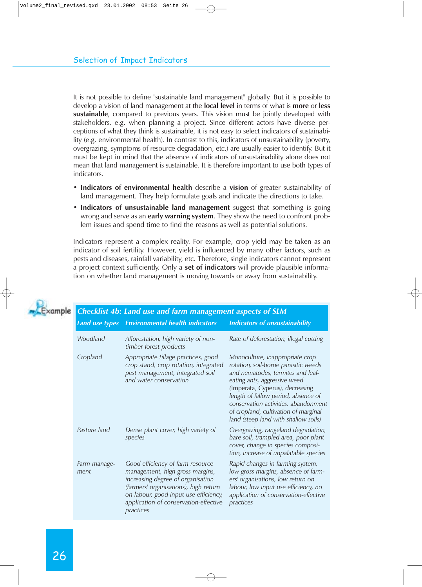It is not possible to define "sustainable land management" globally. But it is possible to develop a vision of land management at the **local level** in terms of what is **more** or **less** sustainable, compared to previous years. This vision must be jointly developed with stakeholders, e.g. when planning a project. Since different actors have diverse perceptions of what they think is sustainable, it is not easy to select indicators of sustainability (e.g. environmental health). In contrast to this, indicators of unsustainability (poverty, overgrazing, symptoms of resource degradation, etc.) are usually easier to identify. But it must be kept in mind that the absence of indicators of unsustainability alone does not mean that land management is sustainable. It is therefore important to use both types of indicators.

- Indicators of environmental health describe a vision of greater sustainability of land management. They help formulate goals and indicate the directions to take.
- Indicators of unsustainable land management suggest that something is going wrong and serve as an **early warning system**. They show the need to confront problem issues and spend time to find the reasons as well as potential solutions.

Indicators represent a complex reality. For example, crop yield may be taken as an indicator of soil fertility. However, yield is influenced by many other factors, such as pests and diseases, rainfall variability, etc. Therefore, single indicators cannot represent a project context sufficiently. Only a set of indicators will provide plausible information on whether land management is moving towards or away from sustainability.



| <b>Checklist 4b: Land use and farm management aspects of SLM</b> |                                                                                                                                                                                                                                                  |                                                                                                                                                                                                                                                                                                                                                |  |  |  |  |
|------------------------------------------------------------------|--------------------------------------------------------------------------------------------------------------------------------------------------------------------------------------------------------------------------------------------------|------------------------------------------------------------------------------------------------------------------------------------------------------------------------------------------------------------------------------------------------------------------------------------------------------------------------------------------------|--|--|--|--|
|                                                                  | Land use types Environmental health indicators                                                                                                                                                                                                   | <b>Indicators of unsustainability</b>                                                                                                                                                                                                                                                                                                          |  |  |  |  |
| Woodland                                                         | Afforestation, high variety of non-<br>timber forest products                                                                                                                                                                                    | Rate of deforestation, illegal cutting                                                                                                                                                                                                                                                                                                         |  |  |  |  |
| Cropland                                                         | Appropriate tillage practices, good<br>crop stand, crop rotation, integrated<br>pest management, integrated soil<br>and water conservation                                                                                                       | Monoculture, inappropriate crop<br>rotation, soil-borne parasitic weeds<br>and nematodes, termites and leaf-<br>eating ants, aggressive weed<br>(Imperata, Cyperus), decreasing<br>length of fallow period, absence of<br>conservation activities, abandonment<br>of cropland, cultivation of marginal<br>land (steep land with shallow soils) |  |  |  |  |
| Pasture land                                                     | Dense plant cover, high variety of<br>species                                                                                                                                                                                                    | Overgrazing, rangeland degradation,<br>bare soil, trampled area, poor plant<br>cover, change in species composi-<br>tion, increase of unpalatable species                                                                                                                                                                                      |  |  |  |  |
| Farm manage-<br>ment                                             | Good efficiency of farm resource<br>management, high gross margins,<br>increasing degree of organisation<br>(farmers' organisations), high return<br>on labour, good input use efficiency,<br>application of conservation-effective<br>practices | Rapid changes in farming system,<br>low gross margins, absence of farm-<br>ers' organisations, low return on<br>labour, low input use efficiency, no<br>application of conservation-effective<br>practices                                                                                                                                     |  |  |  |  |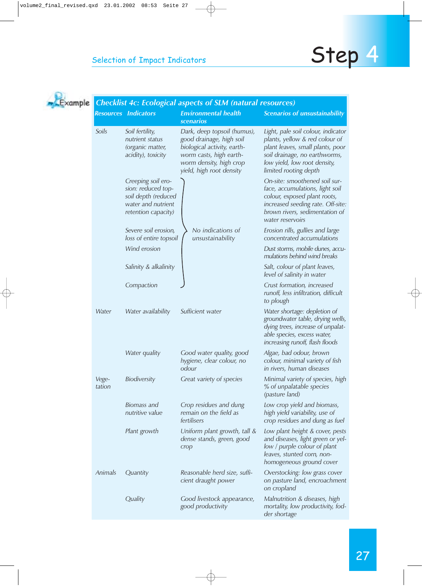

### Checklist 4c: Ecological aspects of SLM (natural resources)

|                 | <b>Resources Indicators</b>                                                                                  | <b>Environmental health</b><br><b>scenarios</b>                                                                                                                          | <b>Scenarios of unsustainability</b>                                                                                                                                                               |
|-----------------|--------------------------------------------------------------------------------------------------------------|--------------------------------------------------------------------------------------------------------------------------------------------------------------------------|----------------------------------------------------------------------------------------------------------------------------------------------------------------------------------------------------|
| Soils           | Soil fertility,<br>nutrient status<br>(organic matter,<br>acidity), toxicity                                 | Dark, deep topsoil (humus),<br>good drainage, high soil<br>biological activity, earth-<br>worm casts, high earth-<br>worm density, high crop<br>yield, high root density | Light, pale soil colour, indicator<br>plants, yellow & red colour of<br>plant leaves, small plants, poor<br>soil drainage, no earthworms,<br>low yield, low root density,<br>limited rooting depth |
|                 | Creeping soil ero-<br>sion: reduced top-<br>soil depth (reduced<br>water and nutrient<br>retention capacity) |                                                                                                                                                                          | On-site: smoothened soil sur-<br>face, accumulations, light soil<br>colour, exposed plant roots,<br>increased seeding rate. Off-site:<br>brown rivers, sedimentation of<br>water reservoirs        |
|                 | Severe soil erosion,<br>loss of entire topsoil                                                               | No indications of<br>unsustainability                                                                                                                                    | Erosion rills, gullies and large<br>concentrated accumulations                                                                                                                                     |
|                 | Wind erosion                                                                                                 |                                                                                                                                                                          | Dust storms, mobile dunes, accu-<br>mulations behind wind breaks                                                                                                                                   |
|                 | Salinity & alkalinity                                                                                        |                                                                                                                                                                          | Salt, colour of plant leaves,<br>level of salinity in water                                                                                                                                        |
|                 | Compaction                                                                                                   |                                                                                                                                                                          | Crust formation, increased<br>runoff, less infiltration, difficult<br>to plough                                                                                                                    |
| Water           | Water availability                                                                                           | Sufficient water                                                                                                                                                         | Water shortage: depletion of<br>groundwater table, drying wells,<br>dying trees, increase of unpalat-<br>able species, excess water,<br>increasing runoff, flash floods                            |
|                 | Water quality                                                                                                | Good water quality, good<br>hygiene, clear colour, no<br>odour                                                                                                           | Algae, bad odour, brown<br>colour, minimal variety of fish<br>in rivers, human diseases                                                                                                            |
| Vege-<br>tation | Biodiversity                                                                                                 | Great variety of species                                                                                                                                                 | Minimal variety of species, high<br>% of unpalatable species<br>(pasture land)                                                                                                                     |
|                 | Biomass and<br>nutritive value                                                                               | Crop residues and dung<br>remain on the field as<br>fertilisers                                                                                                          | Low crop yield and biomass,<br>high yield variability, use of<br>crop residues and dung as fuel                                                                                                    |
|                 | Plant growth                                                                                                 | Uniform plant growth, tall &<br>dense stands, green, good<br>crop                                                                                                        | Low plant height & cover, pests<br>and diseases, light green or yel-<br>low / purple colour of plant<br>leaves, stunted corn, non-<br>homogeneous ground cover                                     |
| Animals         | Quantity                                                                                                     | Reasonable herd size, suffi-<br>cient draught power                                                                                                                      | Overstocking: low grass cover<br>on pasture land, encroachment<br>on cropland                                                                                                                      |
|                 | Quality                                                                                                      | Good livestock appearance,<br>good productivity                                                                                                                          | Malnutrition & diseases, high<br>mortality, low productivity, fod-<br>der shortage                                                                                                                 |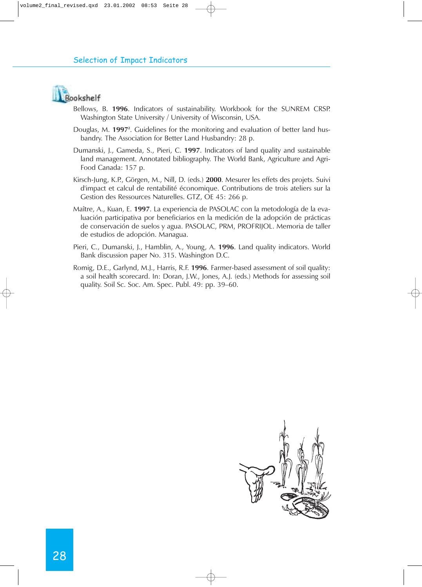

- Bellows, B. 1996. Indicators of sustainability. Workbook for the SUNREM CRSP. Washington State University / University of Wisconsin, USA.
- Douglas, M. 1997<sup>2</sup>. Guidelines for the monitoring and evaluation of better land husbandry. The Association for Better Land Husbandry: 28 p.
- Dumanski, J., Gameda, S., Pieri, C. 1997. Indicators of land quality and sustainable land management. Annotated bibliography. The World Bank, Agriculture and Agri-Food Canada: 157 p.
- Kirsch-Jung, K.P., Görgen, M., Nill, D. (eds.) 2000. Mesurer les effets des projets. Suivi d'impact et calcul de rentabilité économique. Contributions de trois ateliers sur la Gestion des Ressources Naturelles. GTZ, OE 45: 266 p.
- Maître, A., Kuan, E. 1997. La experiencia de PASOLAC con la metodología de la evaluación participativa por beneficiarios en la medición de la adopción de prácticas de conservación de suelos y agua. PASOLAC, PRM, PROFRIJOL. Memoria de taller de estudios de adopción. Managua.
- Pieri, C., Dumanski, J., Hamblin, A., Young, A. 1996. Land quality indicators. World Bank discussion paper No. 315. Washington D.C.
- Romig, D.E., Garlynd, M.J., Harris, R.F. 1996. Farmer-based assessment of soil quality: a soil health scorecard. In: Doran, J.W., Jones, A.J. (eds.) Methods for assessing soil quality. Soil Sc. Soc. Am. Spec. Publ. 49: pp. 39–60.

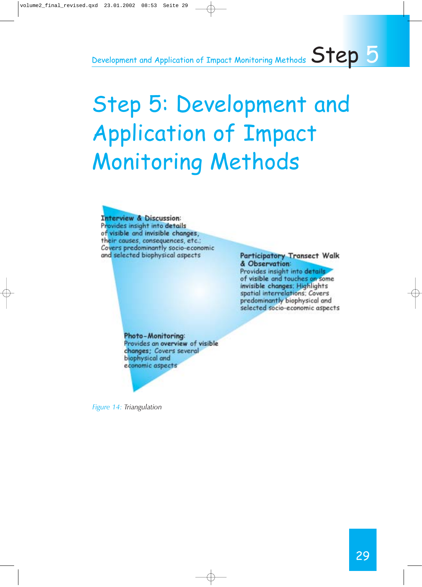# Step 5: Development and Application of Impact Monitoring Methods

**Interview & Discussion:** Provides insight into details of visible and invisible changes, their causes, consequences, etc.; Covers predominantly socio-economic and selected biophysical aspects

### **Participatory Transect Walk** & Observation:

Provides insight into details of visible and touches on some invisible changes; Highlights spatial interrelations; Covers predominantly biophysical and selected socio-economic aspects

Photo-Monitoring: Provides an overview of visible changes; Covers several biophysical and economic aspects

Figure 14: Triangulation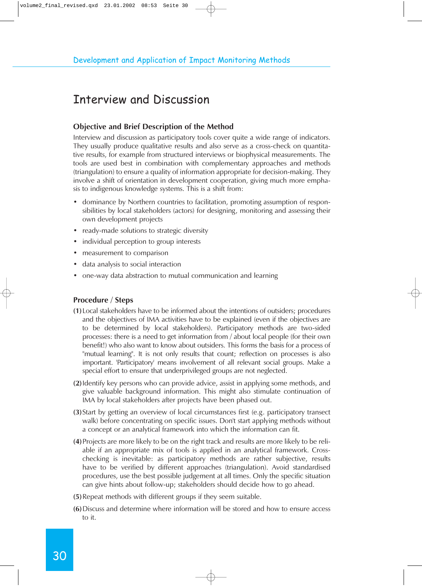### Interview and Discussion

### Objective and Brief Description of the Method

Interview and discussion as participatory tools cover quite a wide range of indicators. They usually produce qualitative results and also serve as a cross-check on quantitative results, for example from structured interviews or biophysical measurements. The tools are used best in combination with complementary approaches and methods (triangulation) to ensure a quality of information appropriate for decision-making. They involve a shift of orientation in development cooperation, giving much more emphasis to indigenous knowledge systems. This is a shift from:

- dominance by Northern countries to facilitation, promoting assumption of responsibilities by local stakeholders (actors) for designing, monitoring and assessing their own development projects
- ready-made solutions to strategic diversity
- individual perception to group interests
- measurement to comparison
- data analysis to social interaction
- one-way data abstraction to mutual communication and learning

### Procedure / Steps

- (1)Local stakeholders have to be informed about the intentions of outsiders; procedures and the objectives of IMA activities have to be explained (even if the objectives are to be determined by local stakeholders). Participatory methods are two-sided processes: there is a need to get information from / about local people (for their own benefit!) who also want to know about outsiders. This forms the basis for a process of "mutual learning". It is not only results that count; reflection on processes is also important. 'Participatory' means involvement of all relevant social groups. Make a special effort to ensure that underprivileged groups are not neglected.
- (2)Identify key persons who can provide advice, assist in applying some methods, and give valuable background information. This might also stimulate continuation of IMA by local stakeholders after projects have been phased out.
- (3)Start by getting an overview of local circumstances first (e.g. participatory transect walk) before concentrating on specific issues. Don't start applying methods without a concept or an analytical framework into which the information can fit.
- (4)Projects are more likely to be on the right track and results are more likely to be reliable if an appropriate mix of tools is applied in an analytical framework. Crosschecking is inevitable: as participatory methods are rather subjective, results have to be verified by different approaches (triangulation). Avoid standardised procedures, use the best possible judgement at all times. Only the specific situation can give hints about follow-up; stakeholders should decide how to go ahead.
- (5)Repeat methods with different groups if they seem suitable.
- (6)Discuss and determine where information will be stored and how to ensure access to it.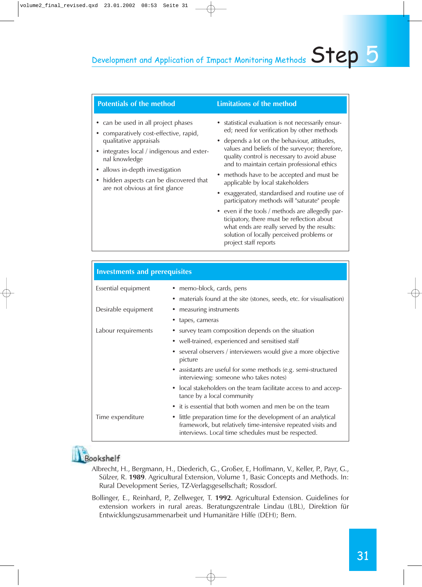| <b>Potentials of the method</b>                                                                                                                                                                                                                                                         | <b>Limitations of the method</b>                                                                                                                                                                                                                                                                                                                                                                                                                                                                                                                                                                                                                                                                           |
|-----------------------------------------------------------------------------------------------------------------------------------------------------------------------------------------------------------------------------------------------------------------------------------------|------------------------------------------------------------------------------------------------------------------------------------------------------------------------------------------------------------------------------------------------------------------------------------------------------------------------------------------------------------------------------------------------------------------------------------------------------------------------------------------------------------------------------------------------------------------------------------------------------------------------------------------------------------------------------------------------------------|
| • can be used in all project phases<br>• comparatively cost-effective, rapid,<br>qualitative appraisals<br>• integrates local / indigenous and exter-<br>nal knowledge<br>• allows in-depth investigation<br>• hidden aspects can be discovered that<br>are not obvious at first glance | • statistical evaluation is not necessarily ensur-<br>ed; need for verification by other methods<br>• depends a lot on the behaviour, attitudes,<br>values and beliefs of the surveyor; therefore,<br>quality control is necessary to avoid abuse<br>and to maintain certain professional ethics<br>• methods have to be accepted and must be<br>applicable by local stakeholders<br>• exaggerated, standardised and routine use of<br>participatory methods will "saturate" people<br>• even if the tools / methods are allegedly par-<br>ticipatory, there must be reflection about<br>what ends are really served by the results:<br>solution of locally perceived problems or<br>project staff reports |

| <b>Investments and prerequisites</b> |                                                                                                                                                                                     |
|--------------------------------------|-------------------------------------------------------------------------------------------------------------------------------------------------------------------------------------|
| Essential equipment                  | • memo-block, cards, pens                                                                                                                                                           |
|                                      | • materials found at the site (stones, seeds, etc. for visualisation)                                                                                                               |
| Desirable equipment                  | • measuring instruments                                                                                                                                                             |
|                                      | tapes, cameras                                                                                                                                                                      |
| Labour requirements                  | • survey team composition depends on the situation                                                                                                                                  |
|                                      | • well-trained, experienced and sensitised staff                                                                                                                                    |
|                                      | • several observers / interviewers would give a more objective<br>picture                                                                                                           |
|                                      | • assistants are useful for some methods (e.g. semi-structured<br>interviewing: someone who takes notes)                                                                            |
|                                      | • local stakeholders on the team facilitate access to and accep-<br>tance by a local community                                                                                      |
|                                      | • it is essential that both women and men be on the team                                                                                                                            |
| Time expenditure                     | little preparation time for the development of an analytical<br>framework, but relatively time-intensive repeated visits and<br>interviews. Local time schedules must be respected. |



## Bookshelf

- Albrecht, H., Bergmann, H., Diederich, G., Großer, E, Hoffmann, V., Keller, P., Payr, G., Sülzer, R. 1989. Agricultural Extension, Volume 1, Basic Concepts and Methods. In: Rural Development Series, TZ-Verlagsgesellschaft; Rossdorf.
- Bollinger, E., Reinhard, P., Zellweger, T. 1992. Agricultural Extension. Guidelines for extension workers in rural areas. Beratungszentrale Lindau (LBL), Direktion für Entwicklungszusammenarbeit und Humanitäre Hilfe (DEH); Bern.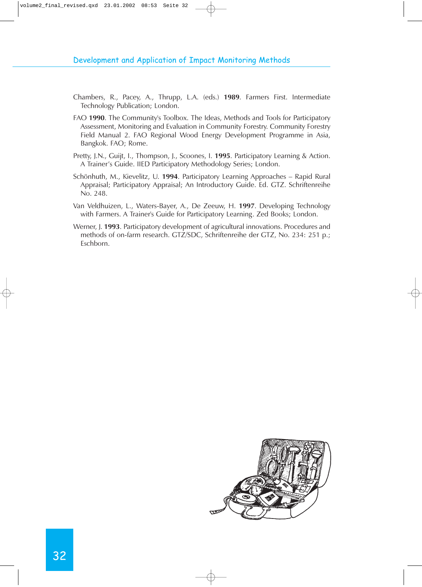- Chambers, R., Pacey, A., Thrupp, L.A. (eds.) 1989. Farmers First. Intermediate Technology Publication; London.
- FAO 1990. The Community's Toolbox. The Ideas, Methods and Tools for Participatory Assessment, Monitoring and Evaluation in Community Forestry. Community Forestry Field Manual 2. FAO Regional Wood Energy Development Programme in Asia, Bangkok. FAO; Rome.
- Pretty, J.N., Guijt, I., Thompson, J., Scoones, I. 1995. Participatory Learning & Action. A Trainer's Guide. IIED Participatory Methodology Series; London.
- Schönhuth, M., Kievelitz, U. 1994. Participatory Learning Approaches Rapid Rural Appraisal; Participatory Appraisal; An Introductory Guide. Ed. GTZ. Schriftenreihe No. 248.
- Van Veldhuizen, L., Waters-Bayer, A., De Zeeuw, H. 1997. Developing Technology with Farmers. A Trainer's Guide for Participatory Learning. Zed Books; London.
- Werner, J. 1993. Participatory development of agricultural innovations. Procedures and methods of on-farm research. GTZ/SDC, Schriftenreihe der GTZ, No. 234: 251 p.; Eschborn.

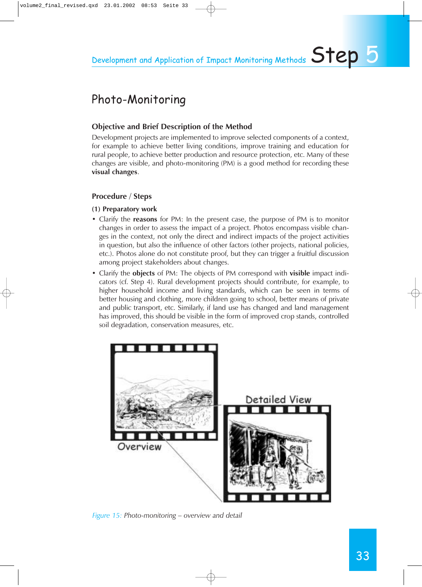## Photo-Monitoring

### Objective and Brief Description of the Method

Development projects are implemented to improve selected components of a context, for example to achieve better living conditions, improve training and education for rural people, to achieve better production and resource protection, etc. Many of these changes are visible, and photo-monitoring (PM) is a good method for recording these visual changes.

### Procedure / Steps

### (1) Preparatory work

- Clarify the **reasons** for PM: In the present case, the purpose of PM is to monitor changes in order to assess the impact of a project. Photos encompass visible changes in the context, not only the direct and indirect impacts of the project activities in question, but also the influence of other factors (other projects, national policies, etc.). Photos alone do not constitute proof, but they can trigger a fruitful discussion among project stakeholders about changes.
- Clarify the **objects** of PM: The objects of PM correspond with **visible** impact indicators (cf. Step 4). Rural development projects should contribute, for example, to higher household income and living standards, which can be seen in terms of better housing and clothing, more children going to school, better means of private and public transport, etc. Similarly, if land use has changed and land management has improved, this should be visible in the form of improved crop stands, controlled soil degradation, conservation measures, etc.



Figure 15: Photo-monitoring – overview and detail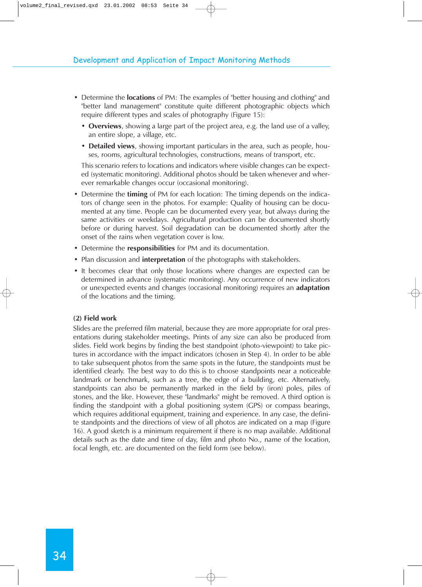- Determine the **locations** of PM: The examples of "better housing and clothing" and "better land management" constitute quite different photographic objects which require different types and scales of photography (Figure 15):
	- Overviews, showing a large part of the project area, e.g. the land use of a valley, an entire slope, a village, etc.
	- Detailed views, showing important particulars in the area, such as people, houses, rooms, agricultural technologies, constructions, means of transport, etc.

This scenario refers to locations and indicators where visible changes can be expected (systematic monitoring). Additional photos should be taken whenever and wherever remarkable changes occur (occasional monitoring).

- Determine the **timing** of PM for each location: The timing depends on the indicators of change seen in the photos. For example: Quality of housing can be documented at any time. People can be documented every year, but always during the same activities or weekdays. Agricultural production can be documented shortly before or during harvest. Soil degradation can be documented shortly after the onset of the rains when vegetation cover is low.
- Determine the responsibilities for PM and its documentation.
- Plan discussion and **interpretation** of the photographs with stakeholders.
- It becomes clear that only those locations where changes are expected can be determined in advance (systematic monitoring). Any occurrence of new indicators or unexpected events and changes (occasional monitoring) requires an adaptation of the locations and the timing.

### (2) Field work

Slides are the preferred film material, because they are more appropriate for oral presentations during stakeholder meetings. Prints of any size can also be produced from slides. Field work begins by finding the best standpoint (photo-viewpoint) to take pictures in accordance with the impact indicators (chosen in Step 4). In order to be able to take subsequent photos from the same spots in the future, the standpoints must be identified clearly. The best way to do this is to choose standpoints near a noticeable landmark or benchmark, such as a tree, the edge of a building, etc. Alternatively, standpoints can also be permanently marked in the field by (iron) poles, piles of stones, and the like. However, these "landmarks" might be removed. A third option is finding the standpoint with a global positioning system (GPS) or compass bearings, which requires additional equipment, training and experience. In any case, the definite standpoints and the directions of view of all photos are indicated on a map (Figure 16). A good sketch is a minimum requirement if there is no map available. Additional details such as the date and time of day, film and photo No., name of the location, focal length, etc. are documented on the field form (see below).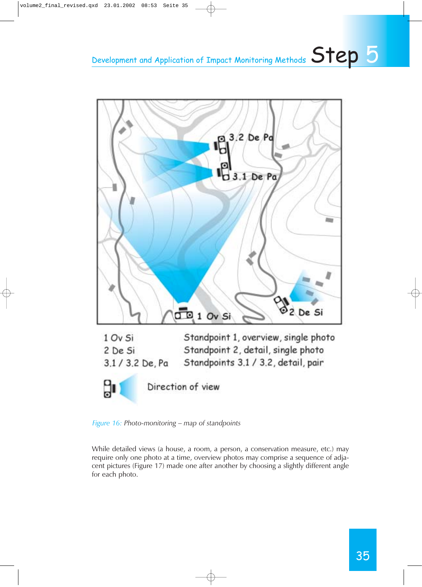## Development and Application of Impact Monitoring Methods **Step 5**



Figure 16: Photo-monitoring – map of standpoints

While detailed views (a house, a room, a person, a conservation measure, etc.) may require only one photo at a time, overview photos may comprise a sequence of adjacent pictures (Figure 17) made one after another by choosing a slightly different angle for each photo.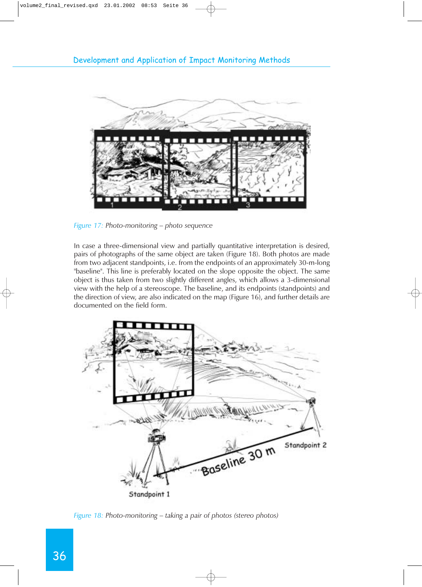

Figure 17: Photo-monitoring – photo sequence

In case a three-dimensional view and partially quantitative interpretation is desired, pairs of photographs of the same object are taken (Figure 18). Both photos are made from two adjacent standpoints, i.e. from the endpoints of an approximately 30-m-long "baseline". This line is preferably located on the slope opposite the object. The same object is thus taken from two slightly different angles, which allows a 3-dimensional view with the help of a stereoscope. The baseline, and its endpoints (standpoints) and the direction of view, are also indicated on the map (Figure 16), and further details are documented on the field form.



Figure 18: Photo-monitoring – taking a pair of photos (stereo photos)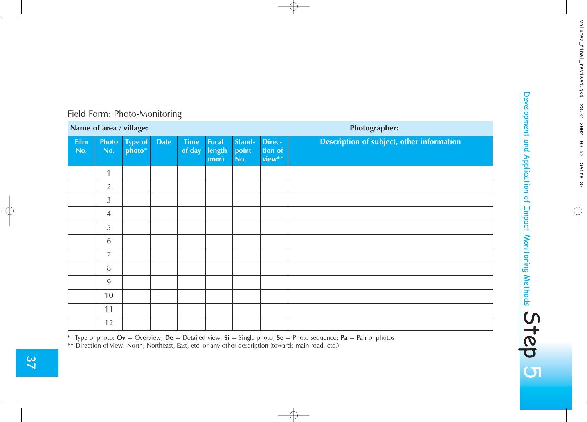|                    |                     | Name of area / village:  |             |                       |                                |                        |                             | <b>Photographer:</b>                      |
|--------------------|---------------------|--------------------------|-------------|-----------------------|--------------------------------|------------------------|-----------------------------|-------------------------------------------|
| <b>Film</b><br>No. | <b>Photo</b><br>No. | <b>Type of</b><br>photo* | <b>Date</b> | <b>Time</b><br>of day | <b>Focal</b><br>length<br>(mm) | Stand-<br>point<br>No. | Direc-<br>tion of<br>view** | Description of subject, other information |
|                    | $\mathbf{1}$        |                          |             |                       |                                |                        |                             |                                           |
|                    | $\overline{2}$      |                          |             |                       |                                |                        |                             |                                           |
|                    | $\mathfrak{Z}$      |                          |             |                       |                                |                        |                             |                                           |
|                    | $\overline{4}$      |                          |             |                       |                                |                        |                             |                                           |
|                    | 5                   |                          |             |                       |                                |                        |                             |                                           |
|                    | 6                   |                          |             |                       |                                |                        |                             |                                           |
|                    | $\overline{7}$      |                          |             |                       |                                |                        |                             |                                           |
|                    | 8                   |                          |             |                       |                                |                        |                             |                                           |
|                    | 9                   |                          |             |                       |                                |                        |                             |                                           |
|                    | 10                  |                          |             |                       |                                |                        |                             |                                           |
|                    | 11                  |                          |             |                       |                                |                        |                             |                                           |
|                    | 12                  |                          |             |                       |                                |                        |                             |                                           |

\* Type of photo:  $Ov =$  Overview;  $De =$  Detailed view;  $Si =$  Single photo;  $Se =$  Photo sequence;  $Pa =$  Pair of photos

\*\* Direction of view: North, Northeast, East, etc. or any other description (towards main road, etc.)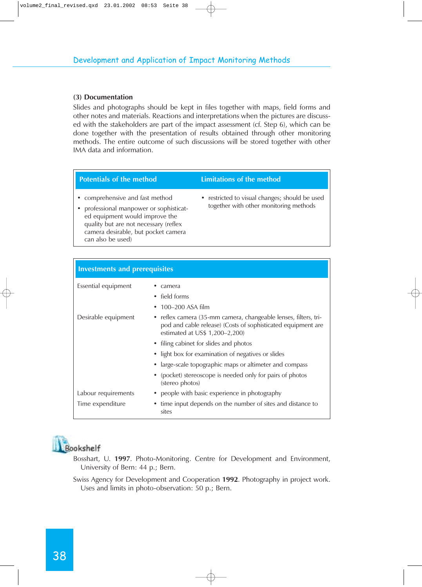### (3) Documentation

Slides and photographs should be kept in files together with maps, field forms and other notes and materials. Reactions and interpretations when the pictures are discussed with the stakeholders are part of the impact assessment (cf. Step 6), which can be done together with the presentation of results obtained through other monitoring methods. The entire outcome of such discussions will be stored together with other IMA data and information.

### Potentials of the method

### Limitations of the method

- comprehensive and fast method
- restricted to visual changes; should be used together with other monitoring methods
- professional manpower or sophisticated equipment would improve the quality but are not necessary (reflex camera desirable, but pocket camera can also be used)

| <b>Investments and prerequisites</b> |                                                                                                                                                                   |  |  |  |
|--------------------------------------|-------------------------------------------------------------------------------------------------------------------------------------------------------------------|--|--|--|
| Essential equipment                  | camera                                                                                                                                                            |  |  |  |
|                                      | • field forms                                                                                                                                                     |  |  |  |
|                                      | - 100–200 ASA film                                                                                                                                                |  |  |  |
| Desirable equipment                  | • reflex camera (35-mm camera, changeable lenses, filters, tri-<br>pod and cable release) (Costs of sophisticated equipment are<br>estimated at US\$ 1,200-2,200) |  |  |  |
|                                      | • filing cabinet for slides and photos                                                                                                                            |  |  |  |
|                                      | • light box for examination of negatives or slides                                                                                                                |  |  |  |
|                                      | • large-scale topographic maps or altimeter and compass                                                                                                           |  |  |  |
|                                      | • (pocket) stereoscope is needed only for pairs of photos<br>(stereo photos)                                                                                      |  |  |  |
| Labour requirements                  | • people with basic experience in photography                                                                                                                     |  |  |  |
| Time expenditure                     | • time input depends on the number of sites and distance to<br>sites                                                                                              |  |  |  |



Bosshart, U. 1997. Photo-Monitoring. Centre for Development and Environment, University of Bern: 44 p.; Bern.

Swiss Agency for Development and Cooperation 1992. Photography in project work. Uses and limits in photo-observation: 50 p.; Bern.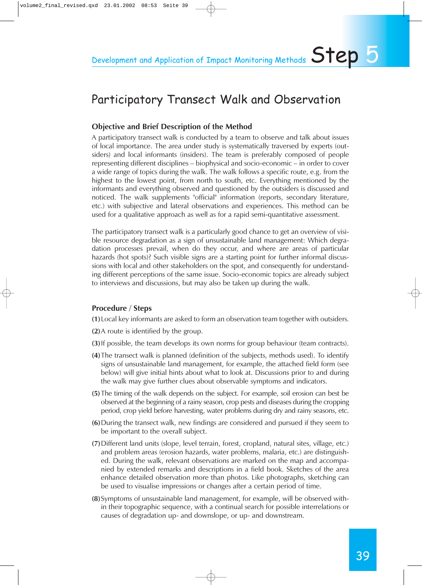## Participatory Transect Walk and Observation

### Objective and Brief Description of the Method

A participatory transect walk is conducted by a team to observe and talk about issues of local importance. The area under study is systematically traversed by experts (outsiders) and local informants (insiders). The team is preferably composed of people representing different disciplines – biophysical and socio-economic – in order to cover a wide range of topics during the walk. The walk follows a specific route, e.g. from the highest to the lowest point, from north to south, etc. Everything mentioned by the informants and everything observed and questioned by the outsiders is discussed and noticed. The walk supplements "official" information (reports, secondary literature, etc.) with subjective and lateral observations and experiences. This method can be used for a qualitative approach as well as for a rapid semi-quantitative assessment.

The participatory transect walk is a particularly good chance to get an overview of visible resource degradation as a sign of unsustainable land management: Which degradation processes prevail, when do they occur, and where are areas of particular hazards (hot spots)? Such visible signs are a starting point for further informal discussions with local and other stakeholders on the spot, and consequently for understanding different perceptions of the same issue. Socio-economic topics are already subject to interviews and discussions, but may also be taken up during the walk.

### Procedure / Steps

(1)Local key informants are asked to form an observation team together with outsiders.

- (2)A route is identified by the group.
- (3)If possible, the team develops its own norms for group behaviour (team contracts).
- (4)The transect walk is planned (definition of the subjects, methods used). To identify signs of unsustainable land management, for example, the attached field form (see below) will give initial hints about what to look at. Discussions prior to and during the walk may give further clues about observable symptoms and indicators.
- (5)The timing of the walk depends on the subject. For example, soil erosion can best be observed at the beginning of a rainy season, crop pests and diseases during the cropping period, crop yield before harvesting, water problems during dry and rainy seasons, etc.
- (6)During the transect walk, new findings are considered and pursued if they seem to be important to the overall subject.
- (7)Different land units (slope, level terrain, forest, cropland, natural sites, village, etc.) and problem areas (erosion hazards, water problems, malaria, etc.) are distinguished. During the walk, relevant observations are marked on the map and accompanied by extended remarks and descriptions in a field book. Sketches of the area enhance detailed observation more than photos. Like photographs, sketching can be used to visualise impressions or changes after a certain period of time.
- (8)Symptoms of unsustainable land management, for example, will be observed within their topographic sequence, with a continual search for possible interrelations or causes of degradation up- and downslope, or up- and downstream.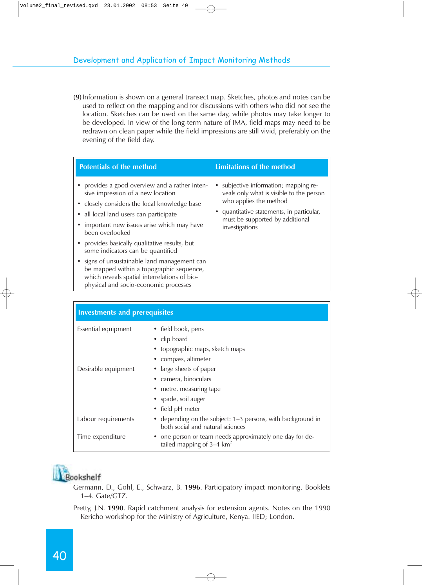(9)Information is shown on a general transect map. Sketches, photos and notes can be used to reflect on the mapping and for discussions with others who did not see the location. Sketches can be used on the same day, while photos may take longer to be developed. In view of the long-term nature of IMA, field maps may need to be redrawn on clean paper while the field impressions are still vivid, preferably on the evening of the field day.

| <b>Potentials of the method</b>                                                                                                                                                                                                                 | <b>Limitations of the method</b>                                                                                                                                                                              |
|-------------------------------------------------------------------------------------------------------------------------------------------------------------------------------------------------------------------------------------------------|---------------------------------------------------------------------------------------------------------------------------------------------------------------------------------------------------------------|
| • provides a good overview and a rather inten-<br>sive impression of a new location<br>• closely considers the local knowledge base<br>• all local land users can participate<br>• important new issues arise which may have<br>been overlooked | • subjective information; mapping re-<br>veals only what is visible to the person<br>who applies the method<br>• quantitative statements, in particular,<br>must be supported by additional<br>investigations |
| • provides basically qualitative results, but<br>some indicators can be quantified                                                                                                                                                              |                                                                                                                                                                                                               |
| • signs of unsustainable land management can<br>be mapped within a topographic sequence,<br>which reveals spatial interrelations of bio-<br>physical and socio-economic processes                                                               |                                                                                                                                                                                                               |

| <b>Investments and prerequisites</b> |                                                                                                                                            |  |  |  |  |  |
|--------------------------------------|--------------------------------------------------------------------------------------------------------------------------------------------|--|--|--|--|--|
| Essential equipment                  | • field book, pens<br>• clip board<br>• topographic maps, sketch maps                                                                      |  |  |  |  |  |
| Desirable equipment                  | • compass, altimeter<br>• large sheets of paper<br>• camera, binoculars<br>• metre, measuring tape                                         |  |  |  |  |  |
| Labour requirements                  | • spade, soil auger<br>• field pH meter<br>• depending on the subject: 1–3 persons, with background in<br>both social and natural sciences |  |  |  |  |  |
| Time expenditure                     | one person or team needs approximately one day for de-<br>tailed mapping of $3-4$ km <sup>2</sup>                                          |  |  |  |  |  |



Germann, D., Gohl, E., Schwarz, B. 1996. Participatory impact monitoring. Booklets 1–4. Gate/GTZ.

Pretty, J.N. 1990. Rapid catchment analysis for extension agents. Notes on the 1990 Kericho workshop for the Ministry of Agriculture, Kenya. IIED; London.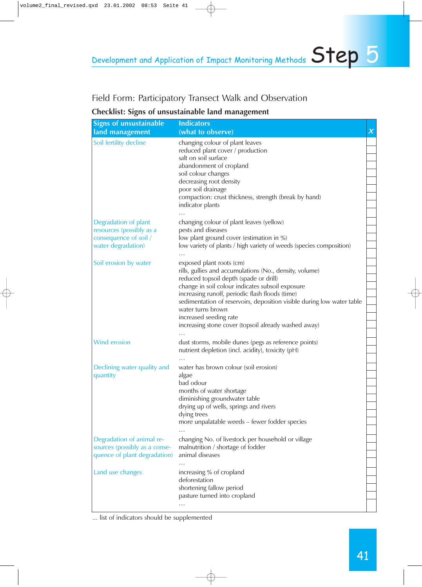## Field Form: Participatory Transect Walk and Observation

### Checklist: Signs of unsustainable land management

| <b>Signs of unsustainable</b> | <b>Indicators</b>                                                                          |                           |
|-------------------------------|--------------------------------------------------------------------------------------------|---------------------------|
| land management               | (what to observe)                                                                          | $\boldsymbol{\mathsf{X}}$ |
| Soil fertility decline        | changing colour of plant leaves                                                            |                           |
|                               | reduced plant cover / production                                                           |                           |
|                               | salt on soil surface                                                                       |                           |
|                               | abandonment of cropland                                                                    |                           |
|                               | soil colour changes                                                                        |                           |
|                               | decreasing root density                                                                    |                           |
|                               | poor soil drainage                                                                         |                           |
|                               | compaction: crust thickness, strength (break by hand)                                      |                           |
|                               | indicator plants                                                                           |                           |
|                               |                                                                                            |                           |
| Degradation of plant          | changing colour of plant leaves (yellow)                                                   |                           |
| resources (possibly as a      | pests and diseases                                                                         |                           |
| consequence of soil /         | low plant ground cover (estimation in %)                                                   |                           |
| water degradation)            | low variety of plants / high variety of weeds (species composition)                        |                           |
|                               |                                                                                            |                           |
| Soil erosion by water         | exposed plant roots (cm)                                                                   |                           |
|                               | rills, gullies and accumulations (No., density, volume)                                    |                           |
|                               | reduced topsoil depth (spade or drill)<br>change in soil colour indicates subsoil exposure |                           |
|                               | increasing runoff, periodic flash floods (time)                                            |                           |
|                               | sedimentation of reservoirs, deposition visible during low water table                     |                           |
|                               | water turns brown                                                                          |                           |
|                               | increased seeding rate                                                                     |                           |
|                               | increasing stone cover (topsoil already washed away)                                       |                           |
|                               |                                                                                            |                           |
| <b>Wind erosion</b>           | dust storms, mobile dunes (pegs as reference points)                                       |                           |
|                               | nutrient depletion (incl. acidity), toxicity (pH)                                          |                           |
|                               |                                                                                            |                           |
| Declining water quality and   | water has brown colour (soil erosion)                                                      |                           |
| quantity                      | algae                                                                                      |                           |
|                               | bad odour                                                                                  |                           |
|                               | months of water shortage                                                                   |                           |
|                               | diminishing groundwater table                                                              |                           |
|                               | drying up of wells, springs and rivers                                                     |                           |
|                               | dying trees                                                                                |                           |
|                               | more unpalatable weeds – fewer fodder species                                              |                           |
|                               |                                                                                            |                           |
| Degradation of animal re-     | changing No. of livestock per household or village                                         |                           |
| sources (possibly as a conse- | malnutrition / shortage of fodder                                                          |                           |
| quence of plant degradation)  | animal diseases                                                                            |                           |
|                               |                                                                                            |                           |
| Land use changes              | increasing % of cropland                                                                   |                           |
|                               | deforestation                                                                              |                           |
|                               | shortening fallow period                                                                   |                           |
|                               | pasture turned into cropland                                                               |                           |
|                               |                                                                                            |                           |

... list of indicators should be supplemented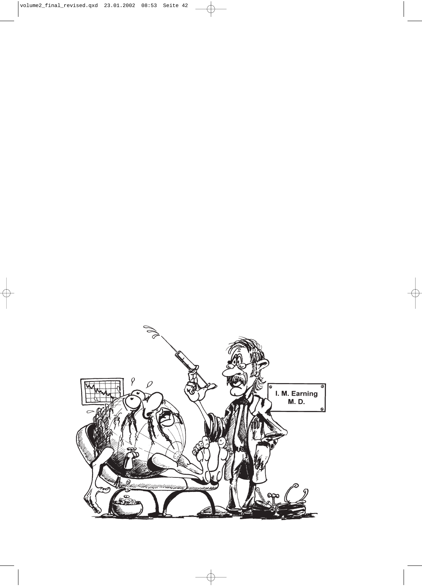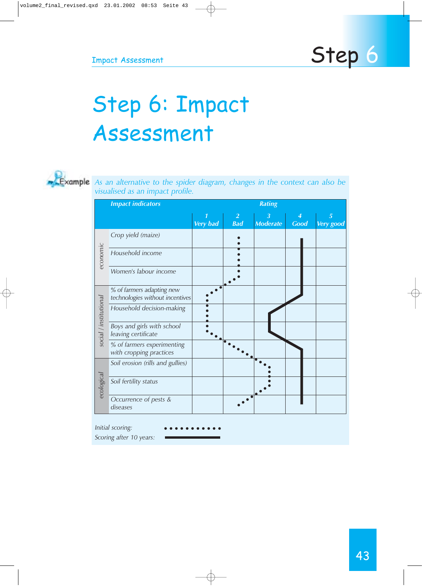# Step 6: Impact Assessment



**Example** As an alternative to the spider diagram, changes in the context can also be visualised as an impact profile.

|                        | <b>Impact indicators</b><br><b>Rating</b>                    |                 |                              |                 |             |                |
|------------------------|--------------------------------------------------------------|-----------------|------------------------------|-----------------|-------------|----------------|
|                        |                                                              | <b>Very bad</b> | $\overline{2}$<br><b>Bad</b> | <b>Moderate</b> | <b>Good</b> | 5<br>Very good |
| economic               | Crop yield (maize)                                           |                 |                              |                 |             |                |
|                        | Household income                                             |                 |                              |                 |             |                |
|                        | Women's labour income                                        |                 |                              |                 |             |                |
| social / institutional | % of farmers adapting new<br>technologies without incentives |                 |                              |                 |             |                |
|                        | Household decision-making                                    |                 |                              |                 |             |                |
|                        | Boys and girls with school<br>leaving certificate            |                 |                              |                 |             |                |
|                        | % of farmers experimenting<br>with cropping practices        |                 |                              |                 |             |                |
| ecological             | Soil erosion (rills and gullies)                             |                 |                              |                 |             |                |
|                        | Soil fertility status                                        |                 |                              |                 |             |                |
|                        | Occurrence of pests &<br>diseases                            |                 |                              |                 |             |                |

Initial scoring: Scoring after 10 years: